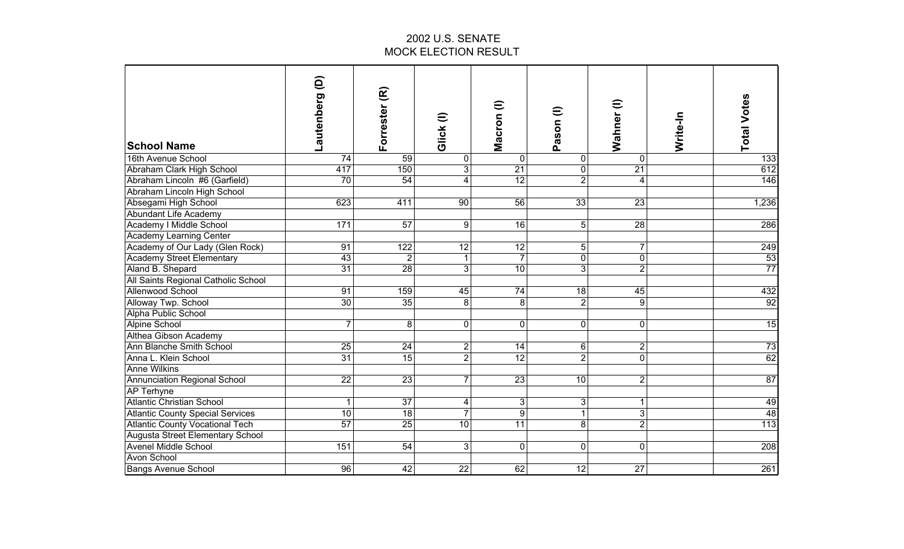| <b>School Name</b>                      | ê<br>Lautenberg | Forrester (R)   | Glick(I)                | Macron (l)      | Pason (I)               | Wahner (I)      | Write-In | <b>Total Votes</b> |
|-----------------------------------------|-----------------|-----------------|-------------------------|-----------------|-------------------------|-----------------|----------|--------------------|
| 16th Avenue School                      | 74              | 59              | 0                       | $\overline{0}$  | $\mathbf 0$             | 0               |          | 133                |
| Abraham Clark High School               | 417             | 150             | $\overline{3}$          | $\overline{21}$ | $\mathbf 0$             | $\overline{21}$ |          | 612                |
| Abraham Lincoln #6 (Garfield)           | 70              | 54              | 4                       | 12              | $\overline{2}$          | 4               |          | 146                |
| Abraham Lincoln High School             |                 |                 |                         |                 |                         |                 |          |                    |
| Absegami High School                    | 623             | 411             | 90                      | 56              | 33                      | 23              |          | 1,236              |
| Abundant Life Academy                   |                 |                 |                         |                 |                         |                 |          |                    |
| Academy I Middle School                 | 171             | 57              | $\overline{9}$          | 16              | 5                       | 28              |          | 286                |
| <b>Academy Learning Center</b>          |                 |                 |                         |                 |                         |                 |          |                    |
| Academy of Our Lady (Glen Rock)         | 91              | 122             | 12                      | 12              | 5                       | 7               |          | 249                |
| <b>Academy Street Elementary</b>        | 43              | $\overline{2}$  | $\mathbf{1}$            | $\overline{7}$  | $\overline{\mathsf{o}}$ | $\overline{0}$  |          | 53                 |
| Aland B. Shepard                        | 31              | 28              | 3                       | 10              | $\overline{3}$          | $\overline{2}$  |          | $\overline{77}$    |
| All Saints Regional Catholic School     |                 |                 |                         |                 |                         |                 |          |                    |
| <b>Allenwood School</b>                 | $\overline{91}$ | 159             | 45                      | $\overline{74}$ | 18                      | 45              |          | 432                |
| Alloway Twp. School                     | 30              | $\overline{35}$ | 8                       | 8               | $\overline{2}$          | 9               |          | 92                 |
| Alpha Public School                     |                 |                 |                         |                 |                         |                 |          |                    |
| Alpine School                           | $\overline{7}$  | 8               | $\mathbf 0$             | $\overline{0}$  | $\mathbf 0$             | 0               |          | $\overline{15}$    |
| Althea Gibson Academy                   |                 |                 |                         |                 |                         |                 |          |                    |
| Ann Blanche Smith School                | 25              | 24              | $\overline{\mathbf{c}}$ | 14              | $6 \,$                  | 2               |          | 73                 |
| Anna L. Klein School                    | $\overline{31}$ | 15              | $\overline{2}$          | 12              | $\overline{2}$          | $\overline{0}$  |          | 62                 |
| <b>Anne Wilkins</b>                     |                 |                 |                         |                 |                         |                 |          |                    |
| <b>Annunciation Regional School</b>     | 22              | 23              | $\overline{7}$          | 23              | 10                      | $\overline{2}$  |          | $\overline{87}$    |
| <b>AP Terhyne</b>                       |                 |                 |                         |                 |                         |                 |          |                    |
| <b>Atlantic Christian School</b>        | 1               | $\overline{37}$ | $\overline{\mathbf{4}}$ | 3               | $\mathbf{3}$            | 1               |          | 49                 |
| <b>Atlantic County Special Services</b> | $\overline{10}$ | 18              | $\overline{7}$          | 9               | $\overline{1}$          | $\overline{3}$  |          | 48                 |
| <b>Atlantic County Vocational Tech</b>  | 57              | 25              | $\overline{10}$         | $\overline{11}$ | $\infty$                | $\overline{2}$  |          | 113                |
| <b>Augusta Street Elementary School</b> |                 |                 |                         |                 |                         |                 |          |                    |
| <b>Avenel Middle School</b>             | 151             | $\overline{54}$ | 3                       | $\overline{0}$  | $\mathbf 0$             | 0               |          | 208                |
| <b>Avon School</b>                      |                 |                 |                         |                 |                         |                 |          |                    |
| <b>Bangs Avenue School</b>              | 96              | 42              | $\overline{22}$         | 62              | $\overline{12}$         | $\overline{27}$ |          | 261                |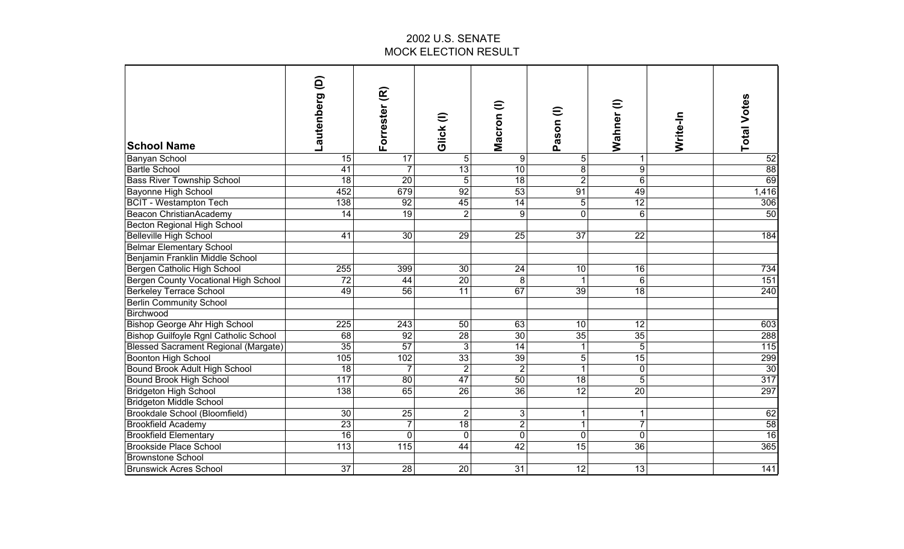| <b>School Name</b>                           | ê<br>Lautenberg  | Forrester (R)   | Glick(I)        | $\widehat{=}$<br>Macron | Pason (I)       | $\widehat{=}$<br>Wahner | Write-In | <b>Total Votes</b> |
|----------------------------------------------|------------------|-----------------|-----------------|-------------------------|-----------------|-------------------------|----------|--------------------|
| <b>Banyan School</b>                         | 15               | 17              | 5               | 9                       | 5 <sup>1</sup>  |                         |          | 52                 |
| <b>Bartle School</b>                         | $\overline{41}$  | $\overline{7}$  | 13              | 10                      | $\overline{8}$  | $\overline{9}$          |          | $\overline{88}$    |
| <b>Bass River Township School</b>            | $\overline{18}$  | 20              | $5\phantom{.0}$ | $\overline{18}$         | $\overline{2}$  | $6\phantom{1}$          |          | 69                 |
| <b>Bayonne High School</b>                   | 452              | 679             | 92              | 53                      | 91              | 49                      |          | 1,416              |
| <b>BCIT - Westampton Tech</b>                | 138              | 92              | 45              | $\overline{14}$         | $\overline{5}$  | $\overline{12}$         |          | 306                |
| Beacon ChristianAcademy                      | $\overline{14}$  | 19              | $\overline{2}$  | 9                       | $\overline{0}$  | $6\phantom{1}6$         |          | 50                 |
| <b>Becton Regional High School</b>           |                  |                 |                 |                         |                 |                         |          |                    |
| <b>Belleville High School</b>                | 41               | $\overline{30}$ | 29              | 25                      | $\overline{37}$ | $\overline{22}$         |          | 184                |
| <b>Belmar Elementary School</b>              |                  |                 |                 |                         |                 |                         |          |                    |
| Benjamin Franklin Middle School              |                  |                 |                 |                         |                 |                         |          |                    |
| Bergen Catholic High School                  | 255              | 399             | $\overline{30}$ | $\overline{24}$         | 10              | 16                      |          | 734                |
| Bergen County Vocational High School         | 72               | 44              | 20              | $\infty$                | $\mathbf{1}$    | $\overline{6}$          |          | 151                |
| <b>Berkeley Terrace School</b>               | 49               | $\overline{56}$ | $\overline{11}$ | 67                      | $\overline{39}$ | $\overline{18}$         |          | 240                |
| <b>Berlin Community School</b>               |                  |                 |                 |                         |                 |                         |          |                    |
| Birchwood                                    |                  |                 |                 |                         |                 |                         |          |                    |
| <b>Bishop George Ahr High School</b>         | 225              | 243             | 50              | 63                      | 10              | 12                      |          | 603                |
| <b>Bishop Guilfoyle Rgnl Catholic School</b> | 68               | 92              | 28              | 30                      | 35              | 35                      |          | 288                |
| <b>Blessed Sacrament Regional (Margate)</b>  | $\overline{35}$  | $\overline{57}$ | $\overline{3}$  | 14                      | $\mathbf{1}$    | $\overline{5}$          |          | $\overline{115}$   |
| Boonton High School                          | 105              | 102             | 33              | 39                      | 5 <sup>1</sup>  | $\overline{15}$         |          | 299                |
| Bound Brook Adult High School                | 18               | $\overline{7}$  | $\overline{2}$  | $\overline{2}$          | $\mathbf{1}$    | 0                       |          | 30                 |
| Bound Brook High School                      | 117              | 80              | 47              | 50                      | 18              | 5                       |          | $\overline{317}$   |
| Bridgeton High School                        | 138              | 65              | 26              | 36                      | 12              | 20                      |          | 297                |
| <b>Bridgeton Middle School</b>               |                  |                 |                 |                         |                 |                         |          |                    |
| Brookdale School (Bloomfield)                | 30               | 25              | $\overline{2}$  | 3                       | $\mathbf 1$     | 1                       |          | 62                 |
| <b>Brookfield Academy</b>                    | 23               | $\overline{7}$  | 18              | $\overline{2}$          | $\overline{1}$  | $\overline{7}$          |          | 58                 |
| <b>Brookfield Elementary</b>                 | $\overline{16}$  | $\mathbf 0$     | $\mathbf 0$     | $\overline{0}$          | $\mathbf 0$     | 0                       |          | 16                 |
| <b>Brookside Place School</b>                | $\overline{113}$ | 115             | 44              | $\overline{42}$         | $\overline{15}$ | $\overline{36}$         |          | 365                |
| <b>Brownstone School</b>                     |                  |                 |                 |                         |                 |                         |          |                    |
| <b>Brunswick Acres School</b>                | $\overline{37}$  | $\overline{28}$ | $\overline{20}$ | $\overline{31}$         | $\overline{12}$ | 13                      |          | 141                |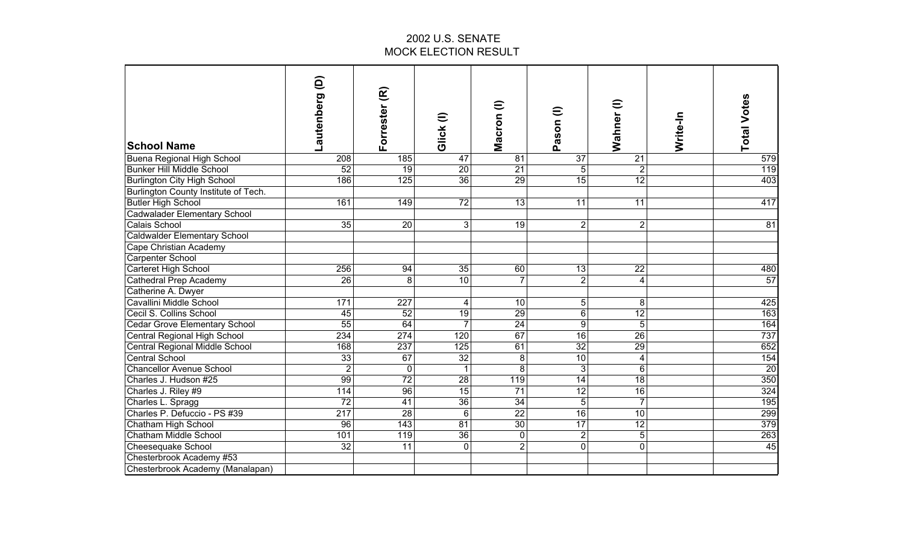| <b>School Name</b>                   | ê<br>Lautenberg  | Forrester (R)    | Glick(I)        | Macron (l)      | $\widehat{=}$<br>Pason | Wahner (I)      | Write-In | <b>Total Votes</b> |
|--------------------------------------|------------------|------------------|-----------------|-----------------|------------------------|-----------------|----------|--------------------|
|                                      |                  |                  |                 |                 |                        |                 |          |                    |
| Buena Regional High School           | 208              | 185              | $\overline{47}$ | 81              | $\overline{37}$        | 21              |          | 579                |
| <b>Bunker Hill Middle School</b>     | 52               | $\overline{19}$  | 20              | $\overline{21}$ | 5 <sup>1</sup>         | $\overline{2}$  |          | 119                |
| <b>Burlington City High School</b>   | 186              | 125              | $\overline{36}$ | 29              | 15                     | 12              |          | 403                |
| Burlington County Institute of Tech. |                  |                  |                 |                 |                        |                 |          |                    |
| <b>Butler High School</b>            | 161              | 149              | $\overline{72}$ | 13              | 11                     | 11              |          | 417                |
| <b>Cadwalader Elementary School</b>  |                  |                  |                 |                 |                        |                 |          |                    |
| <b>Calais School</b>                 | 35               | $\overline{20}$  | 3               | $\overline{19}$ | $\overline{2}$         | $\overline{2}$  |          | $\overline{81}$    |
| <b>Caldwalder Elementary School</b>  |                  |                  |                 |                 |                        |                 |          |                    |
| Cape Christian Academy               |                  |                  |                 |                 |                        |                 |          |                    |
| Carpenter School                     |                  |                  |                 |                 |                        |                 |          |                    |
| Carteret High School                 | 256              | 94               | 35              | $\overline{60}$ | 13                     | $\overline{22}$ |          | 480                |
| Cathedral Prep Academy               | $\overline{26}$  | 8                | 10              | 7               | $\overline{2}$         | $\overline{4}$  |          | 57                 |
| Catherine A. Dwyer                   |                  |                  |                 |                 |                        |                 |          |                    |
| Cavallini Middle School              | 171              | 227              | 4               | 10              | 5 <sup>1</sup>         | 8               |          | 425                |
| Cecil S. Collins School              | 45               | 52               | 19              | 29              | 6 <sup>1</sup>         | $\overline{12}$ |          | 163                |
| <b>Cedar Grove Elementary School</b> | 55               | 64               | $\overline{7}$  | 24              | 9                      | 5               |          | 164                |
| Central Regional High School         | 234              | 274              | 120             | 67              | $\overline{16}$        | $\overline{26}$ |          | 737                |
| Central Regional Middle School       | 168              | 237              | 125             | 61              | 32                     | $\overline{29}$ |          | 652                |
| Central School                       | 33               | 67               | 32              | 8               | 10 <sup>1</sup>        | 4               |          | 154                |
| Chancellor Avenue School             | $\overline{2}$   | $\mathbf 0$      | $\mathbf{1}$    | 8               | 3                      | $6\phantom{1}6$ |          | $\overline{20}$    |
| Charles J. Hudson #25                | 99               | 72               | 28              | 119             | 14                     | 18              |          | 350                |
| Charles J. Riley #9                  | 114              | 96               | 15              | 71              | 12                     | 16              |          | 324                |
| Charles L. Spragg                    | $\overline{72}$  | $\overline{41}$  | 36              | $\overline{34}$ | $\overline{5}$         | $\overline{7}$  |          | 195                |
| Charles P. Defuccio - PS #39         | $\overline{217}$ | $\overline{28}$  | $6\phantom{1}$  | $\overline{22}$ | $\overline{16}$        | 10              |          | 299                |
| Chatham High School                  | 96               | $\overline{143}$ | $\overline{81}$ | 30              | $\overline{17}$        | 12              |          | 379                |
| Chatham Middle School                | 101              | 119              | $\overline{36}$ | $\mathbf 0$     | $\overline{2}$         | 5               |          | 263                |
| Cheesequake School                   | $\overline{32}$  | 11               | $\mathbf 0$     | $\overline{2}$  | $\mathbf 0$            | 0               |          | 45                 |
| Chesterbrook Academy #53             |                  |                  |                 |                 |                        |                 |          |                    |
| Chesterbrook Academy (Manalapan)     |                  |                  |                 |                 |                        |                 |          |                    |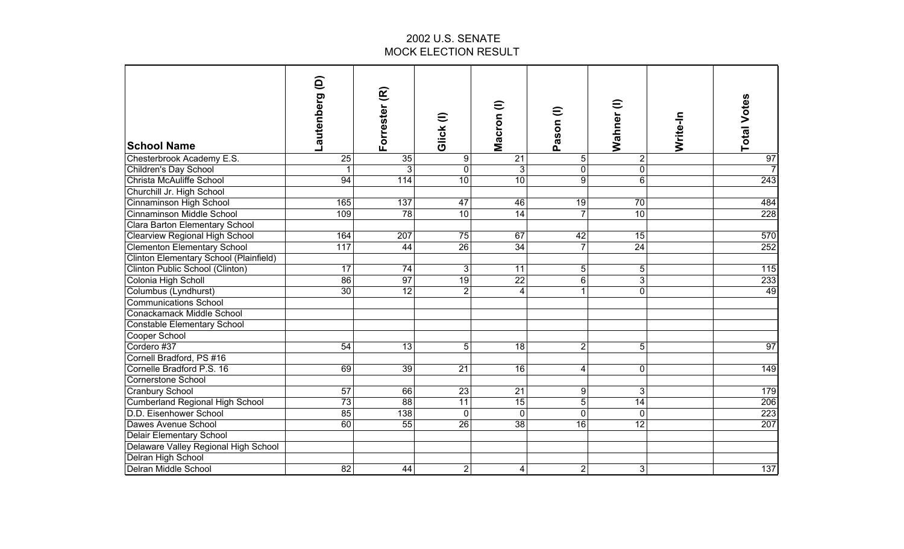| <b>School Name</b>                     | ê<br>Lautenberg | Forrester (R)    | Glick(I)         | Macron (I)      | Pason (I)       | $\widehat{=}$<br>Wahner | Write-In | <b>Total Votes</b> |
|----------------------------------------|-----------------|------------------|------------------|-----------------|-----------------|-------------------------|----------|--------------------|
| Chesterbrook Academy E.S.              | $\overline{25}$ | 35               | $\boldsymbol{9}$ | $\overline{21}$ | 5 <sup>1</sup>  | $\overline{c}$          |          | 97                 |
| Children's Day School                  | 1               | $\overline{3}$   | $\overline{0}$   | دن              | $\mathbf 0$     | $\overline{0}$          |          | $\overline{7}$     |
| Christa McAuliffe School               | 94              | 114              | 10               | 10              | $\overline{9}$  | $\overline{6}$          |          | 243                |
| Churchill Jr. High School              |                 |                  |                  |                 |                 |                         |          |                    |
| Cinnaminson High School                | 165             | 137              | 47               | 46              | 19              | $\overline{70}$         |          | 484                |
| Cinnaminson Middle School              | 109             | 78               | 10               | $\overline{14}$ | $\overline{7}$  | 10                      |          | 228                |
| Clara Barton Elementary School         |                 |                  |                  |                 |                 |                         |          |                    |
| <b>Clearview Regional High School</b>  | 164             | $\overline{207}$ | 75               | 67              | 42              | 15                      |          | 570                |
| <b>Clementon Elementary School</b>     | 117             | 44               | 26               | $\overline{34}$ | $\overline{7}$  | $\overline{24}$         |          | 252                |
| Clinton Elementary School (Plainfield) |                 |                  |                  |                 |                 |                         |          |                    |
| Clinton Public School (Clinton)        | 17              | $\overline{74}$  | 3                | 11              | $\overline{5}$  | 5                       |          | $\overline{115}$   |
| Colonia High Scholl                    | 86              | 97               | 19               | $\overline{22}$ | 6               | $\overline{3}$          |          | 233                |
| Columbus (Lyndhurst)                   | 30              | $\overline{12}$  | $\overline{2}$   | 4               | $\mathbf{1}$    | $\overline{0}$          |          | 49                 |
| <b>Communications School</b>           |                 |                  |                  |                 |                 |                         |          |                    |
| Conackamack Middle School              |                 |                  |                  |                 |                 |                         |          |                    |
| Constable Elementary School            |                 |                  |                  |                 |                 |                         |          |                    |
| Cooper School                          |                 |                  |                  |                 |                 |                         |          |                    |
| Cordero #37                            | 54              | 13               | 5                | 18              | $\overline{2}$  | 5                       |          | 97                 |
| Cornell Bradford, PS #16               |                 |                  |                  |                 |                 |                         |          |                    |
| Cornelle Bradford P.S. 16              | 69              | 39               | 21               | 16              | 4               | 0                       |          | 149                |
| Cornerstone School                     |                 |                  |                  |                 |                 |                         |          |                    |
| <b>Cranbury School</b>                 | 57              | 66               | 23               | 21              | 9               | 3                       |          | 179                |
| <b>Cumberland Regional High School</b> | 73              | 88               | 11               | 15              | $\overline{5}$  | 14                      |          | 206                |
| D.D. Eisenhower School                 | 85              | 138              | $\mathbf{0}$     | $\mathbf 0$     | $\mathbf{0}$    | $\mathbf 0$             |          | 223                |
| Dawes Avenue School                    | 60              | $\overline{55}$  | $\overline{26}$  | $\overline{38}$ | $\overline{16}$ | $\overline{12}$         |          | 207                |
| <b>Delair Elementary School</b>        |                 |                  |                  |                 |                 |                         |          |                    |
| Delaware Valley Regional High School   |                 |                  |                  |                 |                 |                         |          |                    |
| Delran High School                     |                 |                  |                  |                 |                 |                         |          |                    |
| <b>Delran Middle School</b>            | $\overline{82}$ | 44               | $\overline{c}$   | $\overline{4}$  | $\overline{2}$  | 3                       |          | $\overline{137}$   |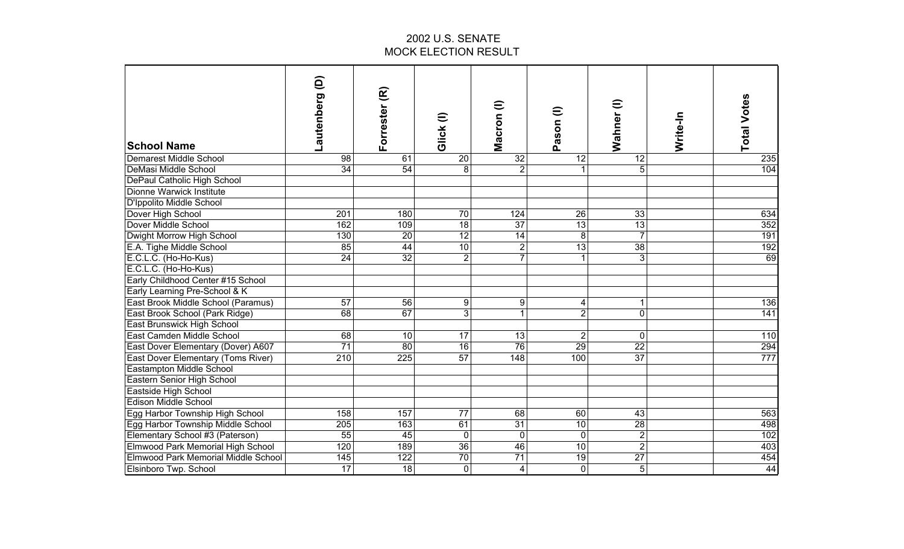| <b>School Name</b>                  | ê<br>Lautenberg  | Forrester (R)    | Glick (I)       | $\widehat{=}$<br>Macron | Pason (I)       | $\widehat{=}$<br>Wahner | Write-In | <b>Total Votes</b> |
|-------------------------------------|------------------|------------------|-----------------|-------------------------|-----------------|-------------------------|----------|--------------------|
| Demarest Middle School              | 98               | 61               | 20              | 32                      | 12              | 12                      |          | 235                |
| DeMasi Middle School                | 34               | $\overline{54}$  | 8               | $\overline{2}$          |                 | 5                       |          | 104                |
| DePaul Catholic High School         |                  |                  |                 |                         |                 |                         |          |                    |
| Dionne Warwick Institute            |                  |                  |                 |                         |                 |                         |          |                    |
| D'Ippolito Middle School            |                  |                  |                 |                         |                 |                         |          |                    |
| Dover High School                   | 201              | 180              | $\overline{70}$ | 124                     | 26              | 33                      |          | 634                |
| Dover Middle School                 | 162              | 109              | 18              | 37                      | 13              | 13                      |          | 352                |
| Dwight Morrow High School           | 130              | 20               | 12              | $\overline{14}$         | 8               | $\overline{7}$          |          | 191                |
| E.A. Tighe Middle School            | 85               | $\overline{44}$  | 10              | $\overline{2}$          | 13              | $\overline{38}$         |          | 192                |
| E.C.L.C. (Ho-Ho-Kus)                | 24               | 32               | $\overline{2}$  | $\overline{7}$          | $\mathbf{1}$    | دن                      |          | 69                 |
| E.C.L.C. (Ho-Ho-Kus)                |                  |                  |                 |                         |                 |                         |          |                    |
| Early Childhood Center #15 School   |                  |                  |                 |                         |                 |                         |          |                    |
| Early Learning Pre-School & K       |                  |                  |                 |                         |                 |                         |          |                    |
| East Brook Middle School (Paramus)  | 57               | 56               | 9               | 9                       | 4               | 1                       |          | 136                |
| East Brook School (Park Ridge)      | 68               | 67               | $\overline{3}$  | $\mathbf{1}$            | $\overline{2}$  | $\overline{0}$          |          | 141                |
| East Brunswick High School          |                  |                  |                 |                         |                 |                         |          |                    |
| East Camden Middle School           | 68               | 10               | 17              | 13                      | $\overline{2}$  | 0                       |          | 110                |
| East Dover Elementary (Dover) A607  | 71               | 80               | 16              | 76                      | 29              | $\overline{22}$         |          | 294                |
| East Dover Elementary (Toms River)  | 210              | 225              | 57              | 148                     | 100             | 37                      |          | 777                |
| Eastampton Middle School            |                  |                  |                 |                         |                 |                         |          |                    |
| Eastern Senior High School          |                  |                  |                 |                         |                 |                         |          |                    |
| Eastside High School                |                  |                  |                 |                         |                 |                         |          |                    |
| <b>Edison Middle School</b>         |                  |                  |                 |                         |                 |                         |          |                    |
| Egg Harbor Township High School     | 158              | 157              | 77              | 68                      | 60              | 43                      |          | 563                |
| Egg Harbor Township Middle School   | $\overline{205}$ | 163              | 61              | $\overline{31}$         | $\overline{10}$ | $\overline{28}$         |          | 498                |
| Elementary School #3 (Paterson)     | $\overline{55}$  | 45               | $\mathbf 0$     | $\mathbf 0$             | $\mathbf 0$     | $\overline{2}$          |          | 102                |
| Elmwood Park Memorial High School   | 120              | 189              | $\overline{36}$ | $\overline{46}$         | $\overline{10}$ | $\overline{2}$          |          | 403                |
| Elmwood Park Memorial Middle School | 145              | $\overline{122}$ | 70              | $\overline{71}$         | $\overline{19}$ | $\overline{27}$         |          | 454                |
| Elsinboro Twp. School               | 17               | 18               | $\mathbf 0$     | $\overline{\mathbf{4}}$ | $\mathbf 0$     | $\overline{5}$          |          | 44                 |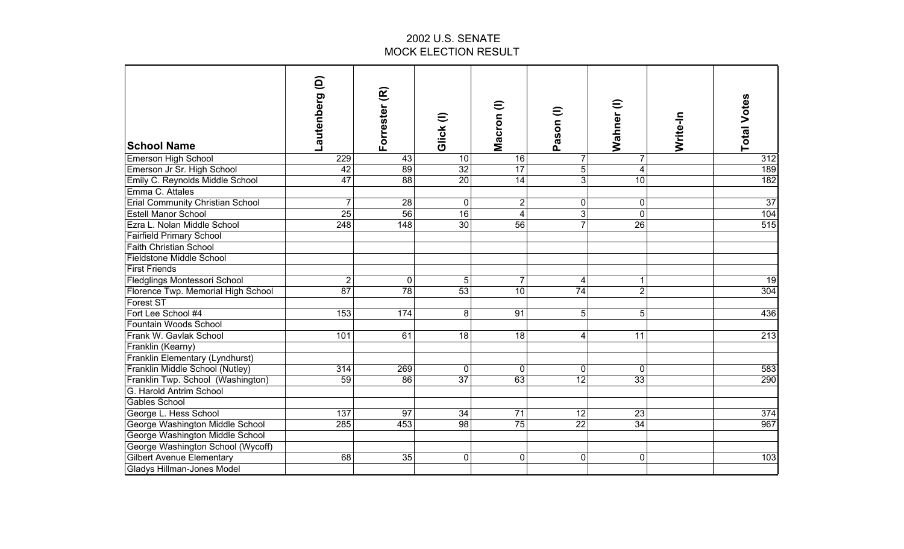| <b>School Name</b>                      | ê<br>autenberg   | Forrester (R)   | Glick (I)       | Macron (I)              | Pason (I)       | $\widehat{=}$<br>Wahner | Write-In | <b>Total Votes</b> |
|-----------------------------------------|------------------|-----------------|-----------------|-------------------------|-----------------|-------------------------|----------|--------------------|
| <b>Emerson High School</b>              | 229              | 43              | 10              | $\overline{16}$         | $\overline{7}$  | 7                       |          | 312                |
| Emerson Jr Sr. High School              | 42               | 89              | $\overline{32}$ | 17                      | $\overline{5}$  | $\overline{\mathbf{4}}$ |          | 189                |
| Emily C. Reynolds Middle School         | 47               | 88              | 20              | $\overline{14}$         | $\overline{3}$  | 10                      |          | 182                |
| Emma C. Attales                         |                  |                 |                 |                         |                 |                         |          |                    |
| <b>Erial Community Christian School</b> | $\overline{7}$   | $\overline{28}$ | $\mathbf 0$     | 2                       | $\overline{0}$  | 0                       |          | $\overline{37}$    |
| <b>Estell Manor School</b>              | 25               | 56              | 16              | $\overline{\mathbf{4}}$ | $\overline{3}$  | $\mathbf 0$             |          | 104                |
| Ezra L. Nolan Middle School             | $\overline{248}$ | 148             | 30              | 56                      | $\overline{7}$  | 26                      |          | 515                |
| <b>Fairfield Primary School</b>         |                  |                 |                 |                         |                 |                         |          |                    |
| <b>Faith Christian School</b>           |                  |                 |                 |                         |                 |                         |          |                    |
| <b>Fieldstone Middle School</b>         |                  |                 |                 |                         |                 |                         |          |                    |
| <b>First Friends</b>                    |                  |                 |                 |                         |                 |                         |          |                    |
| <b>Fledglings Montessori School</b>     | $\overline{2}$   | $\mathbf 0$     | 5               |                         | 4               | 1                       |          | 19                 |
| Florence Twp. Memorial High School      | $\overline{87}$  | 78              | $\overline{53}$ | 10                      | 74              | $\overline{2}$          |          | 304                |
| <b>Forest ST</b>                        |                  |                 |                 |                         |                 |                         |          |                    |
| Fort Lee School #4                      | 153              | 174             | 8               | 91                      | 5 <sup>1</sup>  | 5                       |          | 436                |
| Fountain Woods School                   |                  |                 |                 |                         |                 |                         |          |                    |
| Frank W. Gavlak School                  | 101              | 61              | 18              | 18                      | $\overline{4}$  | 11                      |          | $\overline{213}$   |
| Franklin (Kearny)                       |                  |                 |                 |                         |                 |                         |          |                    |
| Franklin Elementary (Lyndhurst)         |                  |                 |                 |                         |                 |                         |          |                    |
| Franklin Middle School (Nutley)         | 314              | 269             | $\mathbf 0$     | $\Omega$                | $\overline{0}$  | $\Omega$                |          | 583                |
| Franklin Twp. School (Washington)       | 59               | 86              | 37              | 63                      | 12              | 33                      |          | 290                |
| G. Harold Antrim School                 |                  |                 |                 |                         |                 |                         |          |                    |
| <b>Gables School</b>                    |                  |                 |                 |                         |                 |                         |          |                    |
| George L. Hess School                   | 137              | 97              | 34              | 71                      | 12              | 23                      |          | 374                |
| George Washington Middle School         | 285              | 453             | $\overline{98}$ | 75                      | $\overline{22}$ | $\overline{34}$         |          | 967                |
| George Washington Middle School         |                  |                 |                 |                         |                 |                         |          |                    |
| George Washington School (Wycoff)       |                  |                 |                 |                         |                 |                         |          |                    |
| <b>Gilbert Avenue Elementary</b>        | 68               | 35              | $\pmb{0}$       | $\mathbf 0$             | $\overline{0}$  | 0                       |          | 103                |
| <b>Gladys Hillman-Jones Model</b>       |                  |                 |                 |                         |                 |                         |          |                    |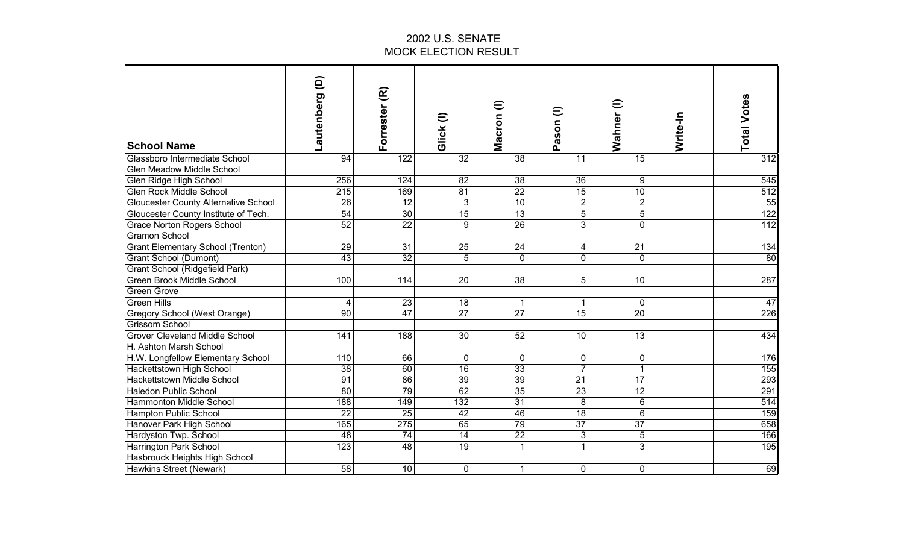| <b>School Name</b>                          | ê<br>Lautenberg  | Forrester (R)   | Glick (I)       | Macron (l)      | Pason (I)       | Wahner (I)      | Write-In | <b>Total Votes</b> |
|---------------------------------------------|------------------|-----------------|-----------------|-----------------|-----------------|-----------------|----------|--------------------|
| Glassboro Intermediate School               | 94               | 122             | $\overline{32}$ | 38              | 11              | 15              |          | 312                |
| <b>Glen Meadow Middle School</b>            |                  |                 |                 |                 |                 |                 |          |                    |
| Glen Ridge High School                      | 256              | 124             | $\overline{82}$ | $\overline{38}$ | $\overline{36}$ | 9               |          | 545                |
| <b>Glen Rock Middle School</b>              | 215              | 169             | 81              | 22              | 15              | 10              |          | 512                |
| <b>Gloucester County Alternative School</b> | 26               | 12              | $\overline{3}$  | 10              | $\overline{2}$  | $\overline{c}$  |          | $\overline{55}$    |
| Gloucester County Institute of Tech.        | 54               | 30              | 15              | 13              | $\overline{5}$  | 5               |          | 122                |
| <b>Grace Norton Rogers School</b>           | 52               | 22              | $\overline{9}$  | 26              | $\overline{3}$  | $\overline{0}$  |          | 112                |
| <b>Gramon School</b>                        |                  |                 |                 |                 |                 |                 |          |                    |
| <b>Grant Elementary School (Trenton)</b>    | 29               | $\overline{31}$ | 25              | $\overline{24}$ | 4               | $\overline{21}$ |          | 134                |
| Grant School (Dumont)                       | 43               | 32              | $\overline{5}$  | $\mathbf 0$     | $\overline{0}$  | $\mathbf 0$     |          | 80                 |
| Grant School (Ridgefield Park)              |                  |                 |                 |                 |                 |                 |          |                    |
| <b>Green Brook Middle School</b>            | 100              | 114             | $\overline{20}$ | 38              | 5 <sup>1</sup>  | $\overline{10}$ |          | 287                |
| <b>Green Grove</b>                          |                  |                 |                 |                 |                 |                 |          |                    |
| <b>Green Hills</b>                          | 4                | 23              | 18              | 1               | 1               | 0               |          | 47                 |
| Gregory School (West Orange)                | 90               | $\overline{47}$ | 27              | $\overline{27}$ | $\overline{15}$ | 20              |          | 226                |
| <b>Grissom School</b>                       |                  |                 |                 |                 |                 |                 |          |                    |
| <b>Grover Cleveland Middle School</b>       | 141              | 188             | 30              | 52              | 10 <sup>1</sup> | 13              |          | 434                |
| H. Ashton Marsh School                      |                  |                 |                 |                 |                 |                 |          |                    |
| H.W. Longfellow Elementary School           | 110              | 66              | $\mathbf 0$     | $\overline{0}$  | $\overline{0}$  | 0               |          | 176                |
| Hackettstown High School                    | 38               | 60              | $\overline{16}$ | 33              | $\overline{7}$  | 1               |          | 155                |
| Hackettstown Middle School                  | $\overline{91}$  | 86              | 39              | 39              | 21              | 17              |          | 293                |
| <b>Haledon Public School</b>                | 80               | 79              | 62              | 35              | 23              | 12              |          | 291                |
| Hammonton Middle School                     | 188              | 149             | 132             | 31              | $\bf 8$         | $\,6$           |          | 514                |
| Hampton Public School                       | $\overline{22}$  | $\overline{25}$ | $\overline{42}$ | 46              | $\overline{18}$ | $6\phantom{1}$  |          | 159                |
| Hanover Park High School                    | 165              | 275             | 65              | 79              | 37              | $\overline{37}$ |          | 658                |
| Hardyston Twp. School                       | 48               | $\overline{74}$ | $\overline{14}$ | $\overline{22}$ | 3               | 5               |          | 166                |
| Harrington Park School                      | $\overline{123}$ | 48              | $\overline{19}$ | 1               | $\mathbf{1}$    | 3               |          | 195                |
| Hasbrouck Heights High School               |                  |                 |                 |                 |                 |                 |          |                    |
| <b>Hawkins Street (Newark)</b>              | $\overline{58}$  | 10              | $\mathbf 0$     | $\mathbf 1$     | $\overline{0}$  | 0               |          | 69                 |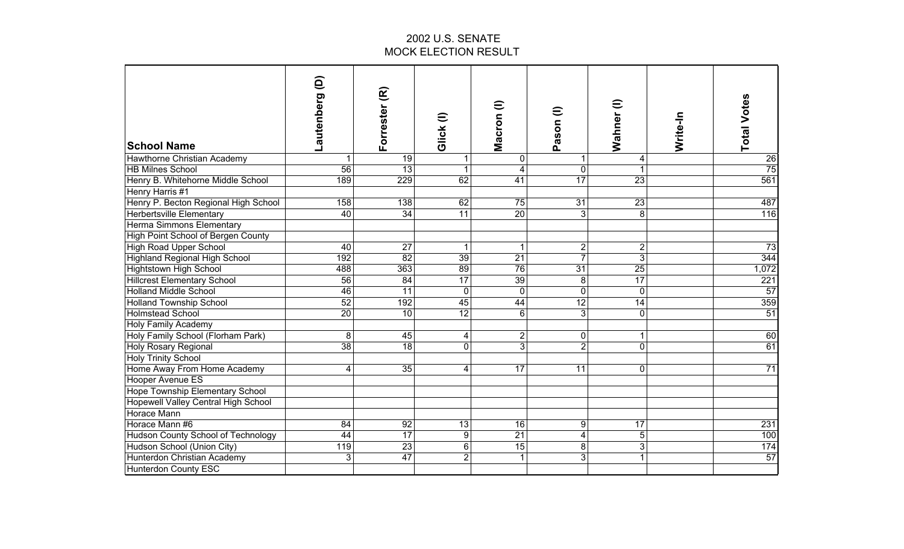| <b>School Name</b>                   | ê<br>Lautenberg | Forrester (R)   | Glick(I)        | Macron (l)       | Pason (I)               | €<br>Wahner     | Write-In | <b>Total Votes</b> |
|--------------------------------------|-----------------|-----------------|-----------------|------------------|-------------------------|-----------------|----------|--------------------|
| Hawthorne Christian Academy          | 1               | 19              |                 | $\mathbf 0$      | 1                       | 4               |          | $\overline{26}$    |
| <b>HB Milnes School</b>              | 56              | 13              |                 | 4                | $\overline{0}$          | 1               |          | 75                 |
| Henry B. Whitehorne Middle School    | 189             | 229             | 62              | $\overline{41}$  | 17                      | 23              |          | 561                |
| Henry Harris #1                      |                 |                 |                 |                  |                         |                 |          |                    |
| Henry P. Becton Regional High School | 158             | 138             | 62              | 75               | 31                      | $\overline{23}$ |          | 487                |
| Herbertsville Elementary             | 40              | $\overline{34}$ | $\overline{11}$ | $\overline{20}$  | 3 <sup>1</sup>          | 8               |          | 116                |
| Herma Simmons Elementary             |                 |                 |                 |                  |                         |                 |          |                    |
| High Point School of Bergen County   |                 |                 |                 |                  |                         |                 |          |                    |
| <b>High Road Upper School</b>        | 40              | $\overline{27}$ | $\mathbf{1}$    | 1                | $\overline{2}$          | $\overline{c}$  |          | 73                 |
| <b>Highland Regional High School</b> | 192             | $\overline{82}$ | $\overline{39}$ | $\overline{21}$  | $\overline{7}$          | 3               |          | 344                |
| Hightstown High School               | 488             | 363             | 89              | 76               | $\overline{31}$         | 25              |          | 1,072              |
| <b>Hillcrest Elementary School</b>   | $\overline{56}$ | $\overline{84}$ | 17              | 39               | 8                       | 17              |          | 221                |
| <b>Holland Middle School</b>         | 46              | 11              | $\mathbf 0$     | $\mathbf 0$      | $\overline{0}$          | 0               |          | 57                 |
| <b>Holland Township School</b>       | 52              | 192             | 45              | 44               | 12                      | $\overline{14}$ |          | 359                |
| <b>Holmstead School</b>              | $\overline{20}$ | 10              | 12              | $6 \overline{6}$ | 3 <sup>1</sup>          | 0               |          | $\overline{51}$    |
| <b>Holy Family Academy</b>           |                 |                 |                 |                  |                         |                 |          |                    |
| Holy Family School (Florham Park)    | 8               | 45              | 4               | 2                | $\overline{0}$          | 1               |          | 60                 |
| Holy Rosary Regional                 | $\overline{38}$ | 18              | $\mathbf{0}$    | $\overline{3}$   | $\overline{2}$          | 0               |          | 61                 |
| <b>Holy Trinity School</b>           |                 |                 |                 |                  |                         |                 |          |                    |
| Home Away From Home Academy          | 4               | 35              | 4               | 17               | 11                      | 0               |          | 71                 |
| Hooper Avenue ES                     |                 |                 |                 |                  |                         |                 |          |                    |
| Hope Township Elementary School      |                 |                 |                 |                  |                         |                 |          |                    |
| Hopewell Valley Central High School  |                 |                 |                 |                  |                         |                 |          |                    |
| <b>Horace Mann</b>                   |                 |                 |                 |                  |                         |                 |          |                    |
| Horace Mann #6                       | 84              | 92              | 13              | 16               | 9                       | 17              |          | 231                |
| Hudson County School of Technology   | 44              | $\overline{17}$ | $\overline{9}$  | $\overline{21}$  | $\overline{\mathbf{4}}$ | 5               |          | 100                |
| Hudson School (Union City)           | 119             | 23              | $\,6$           | 15               | 8                       | 3               |          | 174                |
| Hunterdon Christian Academy          | 3               | $\overline{47}$ | $\overline{2}$  | $\mathbf{1}$     | 3                       | 1               |          | 57                 |
| <b>Hunterdon County ESC</b>          |                 |                 |                 |                  |                         |                 |          |                    |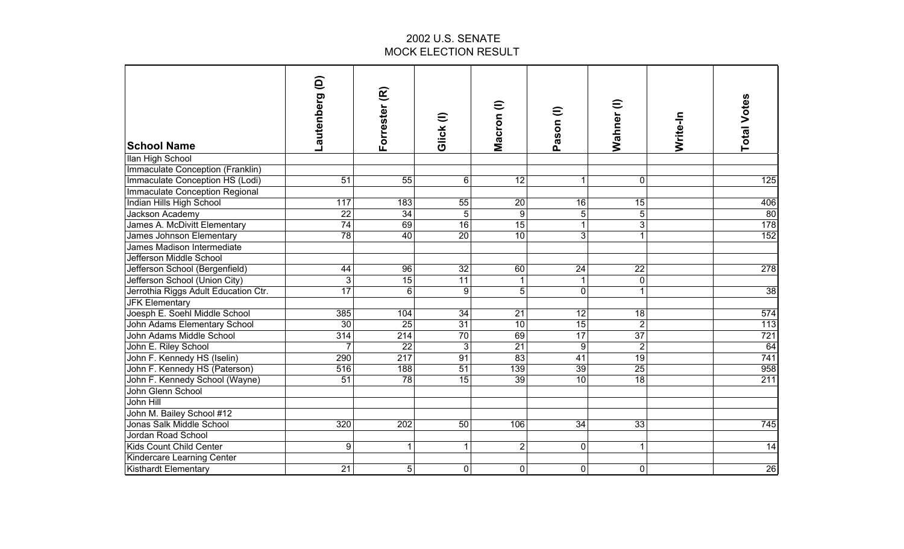| <b>School Name</b>                    | Lautenberg (D)   | Forrester (R)    | Glick (I)       | Macron (I)      | Pason (I)        | Wahner (I)      | Write-In | <b>Total Votes</b> |
|---------------------------------------|------------------|------------------|-----------------|-----------------|------------------|-----------------|----------|--------------------|
| Ilan High School                      |                  |                  |                 |                 |                  |                 |          |                    |
| Immaculate Conception (Franklin)      |                  |                  |                 |                 |                  |                 |          |                    |
| Immaculate Conception HS (Lodi)       | $\overline{51}$  | 55               | 6               | $\overline{12}$ | 1                | $\mathbf 0$     |          | 125                |
| <b>Immaculate Conception Regional</b> |                  |                  |                 |                 |                  |                 |          |                    |
| Indian Hills High School              | $\overline{117}$ | 183              | 55              | $\overline{20}$ | 16               | 15              |          | 406                |
| Jackson Academy                       | $\overline{22}$  | 34               | 5               | 9               | 5                | 5               |          | 80                 |
| James A. McDivitt Elementary          | 74               | 69               | 16              | 15              | $\mathbf{1}$     | 3               |          | 178                |
| James Johnson Elementary              | 78               | 40               | $\overline{20}$ | 10              | $\overline{3}$   | $\mathbf{1}$    |          | 152                |
| James Madison Intermediate            |                  |                  |                 |                 |                  |                 |          |                    |
| Jefferson Middle School               |                  |                  |                 |                 |                  |                 |          |                    |
| Jefferson School (Bergenfield)        | 44               | 96               | $\overline{32}$ | 60              | $\overline{24}$  | $\overline{22}$ |          | 278                |
| Jefferson School (Union City)         | 3                | 15               | 11              | $\mathbf{1}$    | $\mathbf{1}$     | $\mathbf 0$     |          |                    |
| Jerrothia Riggs Adult Education Ctr.  | 17               | 6                | 9               | $\overline{5}$  | $\mathbf 0$      | $\mathbf{1}$    |          | 38                 |
| <b>JFK Elementary</b>                 |                  |                  |                 |                 |                  |                 |          |                    |
| Joesph E. Soehl Middle School         | 385              | 104              | 34              | 21              | 12               | 18              |          | 574                |
| John Adams Elementary School          | 30               | 25               | 31              | 10              | 15               | $\overline{2}$  |          | 113                |
| John Adams Middle School              | 314              | 214              | 70              | 69              | 17               | $\overline{37}$ |          | 721                |
| John E. Riley School                  | $\overline{7}$   | 22               | 3               | 21              | $\boldsymbol{9}$ | $\overline{2}$  |          | 64                 |
| John F. Kennedy HS (Iselin)           | 290              | 217              | 91              | 83              | 41               | 19              |          | 741                |
| John F. Kennedy HS (Paterson)         | 516              | 188              | 51              | 139             | 39               | 25              |          | 958                |
| John F. Kennedy School (Wayne)        | 51               | $\overline{78}$  | 15              | 39              | 10               | 18              |          | $\overline{211}$   |
| John Glenn School                     |                  |                  |                 |                 |                  |                 |          |                    |
| John Hill                             |                  |                  |                 |                 |                  |                 |          |                    |
| John M. Bailey School #12             |                  |                  |                 |                 |                  |                 |          |                    |
| Jonas Salk Middle School              | 320              | $\overline{202}$ | $\overline{50}$ | 106             | $\overline{34}$  | $\overline{33}$ |          | 745                |
| Jordan Road School                    |                  |                  |                 |                 |                  |                 |          |                    |
| Kids Count Child Center               | 9                | $\mathbf{1}$     | 1               | $\overline{2}$  | $\mathbf 0$      | 1               |          | 14                 |
| Kindercare Learning Center            |                  |                  |                 |                 |                  |                 |          |                    |
| <b>Kisthardt Elementary</b>           | $\overline{21}$  | $\sqrt{5}$       | 0               | $\overline{0}$  | $\mathbf 0$      | $\overline{0}$  |          | 26                 |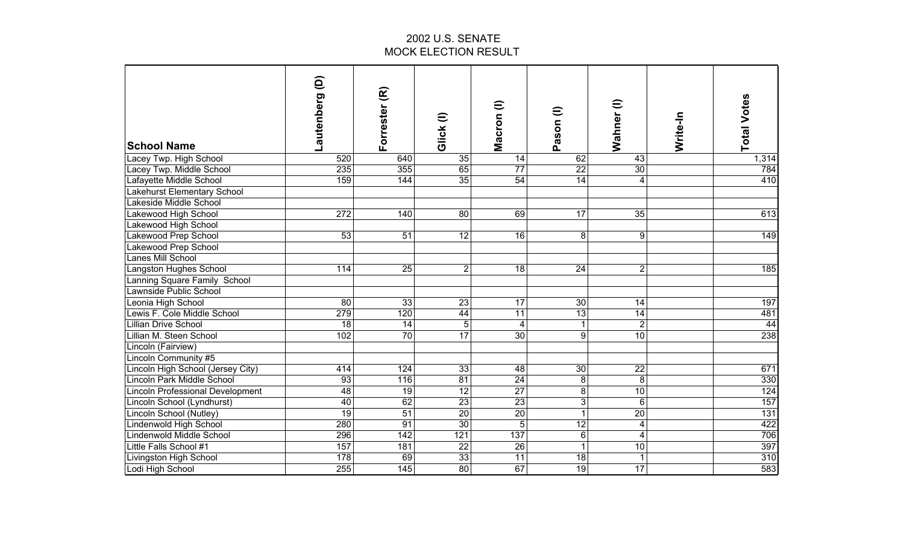| <b>School Name</b>                | ê<br>Lautenberg | Forrester (R)   | Glick(I)        | $\widehat{=}$<br>Macron | Pason (I)       | Wahner (I)       | Write-In | <b>Total Votes</b> |
|-----------------------------------|-----------------|-----------------|-----------------|-------------------------|-----------------|------------------|----------|--------------------|
| Lacey Twp. High School            | 520             | 640             | 35              | 14                      | 62              | 43               |          | 1,314              |
| Lacey Twp. Middle School          | 235             | 355             | 65              | $\overline{77}$         | $\overline{22}$ | 30               |          | 784                |
| Lafayette Middle School           | 159             | 144             | 35              | 54                      | 14              | 4                |          | 410                |
| Lakehurst Elementary School       |                 |                 |                 |                         |                 |                  |          |                    |
| akeside Middle School             |                 |                 |                 |                         |                 |                  |          |                    |
| Lakewood High School              | 272             | 140             | 80              | 69                      | 17              | 35               |          | 613                |
| Lakewood High School              |                 |                 |                 |                         |                 |                  |          |                    |
| Lakewood Prep School              | 53              | 51              | 12              | $\overline{16}$         | 8               | $\boldsymbol{9}$ |          | 149                |
| Lakewood Prep School              |                 |                 |                 |                         |                 |                  |          |                    |
| Lanes Mill School                 |                 |                 |                 |                         |                 |                  |          |                    |
| Langston Hughes School            | 114             | $\overline{25}$ | $\mathbf{2}$    | $\frac{1}{8}$           | $\overline{24}$ | $\overline{2}$   |          | 185                |
| Lanning Square Family School      |                 |                 |                 |                         |                 |                  |          |                    |
| Lawnside Public School            |                 |                 |                 |                         |                 |                  |          |                    |
| Leonia High School                | 80              | 33              | $\overline{23}$ | 17                      | 30              | 14               |          | 197                |
| Lewis F. Cole Middle School       | 279             | 120             | 44              | 11                      | 13              | 14               |          | 481                |
| Lillian Drive School              | 18              | 14              | 5               | $\overline{4}$          | $\mathbf{1}$    | $\overline{2}$   |          | 44                 |
| Lillian M. Steen School           | 102             | 70              | $\overline{17}$ | 30                      | 9               | $\overline{10}$  |          | 238                |
| Lincoln (Fairview)                |                 |                 |                 |                         |                 |                  |          |                    |
| Lincoln Community #5              |                 |                 |                 |                         |                 |                  |          |                    |
| Lincoln High School (Jersey City) | 414             | 124             | 33              | 48                      | 30              | 22               |          | 671                |
| Lincoln Park Middle School        | 93              | 116             | $\overline{81}$ | 24                      | 8               | 8                |          | 330                |
| Lincoln Professional Development  | 48              | 19              | 12              | 27                      | 8               | 10               |          | 124                |
| Lincoln School (Lyndhurst)        | 40              | 62              | 23              | 23                      | دن              | $\overline{6}$   |          | 157                |
| Lincoln School (Nutley)           | $\overline{19}$ | $\overline{51}$ | $\overline{20}$ | $\overline{20}$         | $\mathbf{1}$    | $\overline{20}$  |          | 131                |
| Lindenwold High School            | 280             | $\overline{91}$ | $\overline{30}$ | 5                       | $\overline{12}$ | 4                |          | 422                |
| Lindenwold Middle School          | 296             | 142             | 121             | 137                     | $6\phantom{.}$  | 4                |          | 706                |
| Little Falls School #1            | 157             | 181             | $\overline{22}$ | 26                      | 1               | $\overline{10}$  |          | 397                |
| Livingston High School            | 178             | 69              | 33              | 11                      | 18              | 1                |          | 310                |
| Lodi High School                  | 255             | 145             | $\overline{80}$ | 67                      | $\overline{19}$ | 17               |          | 583                |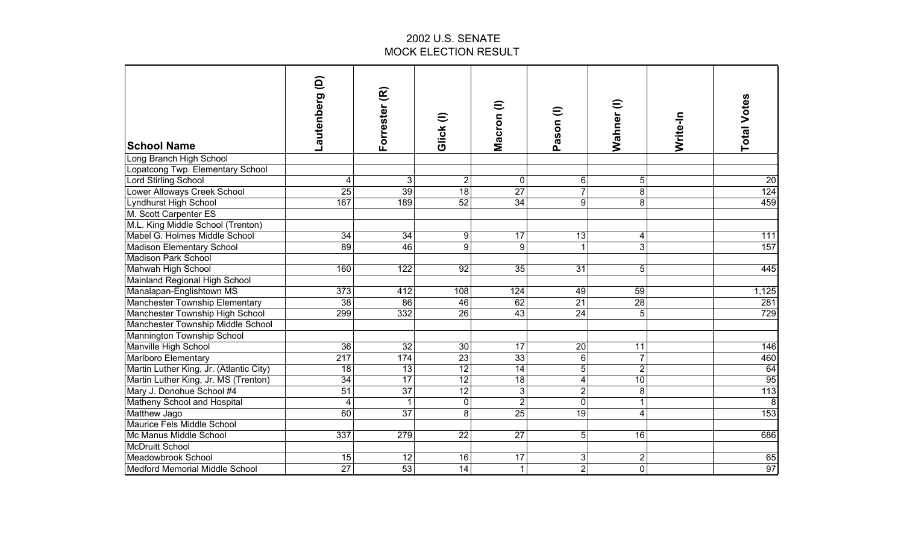| <b>School Name</b>                      | Lautenberg (D)  | Forrester (R)   | Glick (I)       | Macron (l)      | Pason (I)       | Wahner (I)              | Write-In | <b>Total Votes</b> |
|-----------------------------------------|-----------------|-----------------|-----------------|-----------------|-----------------|-------------------------|----------|--------------------|
| Long Branch High School                 |                 |                 |                 |                 |                 |                         |          |                    |
| Lopatcong Twp. Elementary School        |                 |                 |                 |                 |                 |                         |          |                    |
| <b>Lord Stirling School</b>             | 4               | 3               | $\overline{2}$  | $\mathbf 0$     | 6               | 5                       |          | $\overline{20}$    |
| Lower Alloways Creek School             | $\overline{25}$ | $\overline{39}$ | 18              | 27              | $\overline{7}$  | $\overline{8}$          |          | 124                |
| Lyndhurst High School                   | 167             | 189             | 52              | 34              | $\overline{9}$  | $\overline{8}$          |          | 459                |
| M. Scott Carpenter ES                   |                 |                 |                 |                 |                 |                         |          |                    |
| M.L. King Middle School (Trenton)       |                 |                 |                 |                 |                 |                         |          |                    |
| Mabel G. Holmes Middle School           | $\overline{34}$ | $\overline{34}$ | 9               | $\overline{17}$ | 13              | 4                       |          | $\overline{111}$   |
| Madison Elementary School               | $\overline{89}$ | 46              | $\overline{9}$  | 9               | $\mathbf{1}$    | $\overline{3}$          |          | 157                |
| <b>Madison Park School</b>              |                 |                 |                 |                 |                 |                         |          |                    |
| Mahwah High School                      | 160             | 122             | 92              | 35              | $\overline{31}$ | 5                       |          | 445                |
| Mainland Regional High School           |                 |                 |                 |                 |                 |                         |          |                    |
| Manalapan-Englishtown MS                | 373             | 412             | 108             | 124             | 49              | 59                      |          | 1,125              |
| <b>Manchester Township Elementary</b>   | 38              | $\overline{86}$ | 46              | 62              | $\overline{21}$ | 28                      |          | 281                |
| Manchester Township High School         | 299             | 332             | 26              | 43              | 24              | $\overline{5}$          |          | 729                |
| Manchester Township Middle School       |                 |                 |                 |                 |                 |                         |          |                    |
| Mannington Township School              |                 |                 |                 |                 |                 |                         |          |                    |
| Manville High School                    | 36              | 32              | 30              | 17              | 20              | 11                      |          | 146                |
| Marlboro Elementary                     | 217             | 174             | 23              | 33              | 6               | $\overline{7}$          |          | 460                |
| Martin Luther King, Jr. (Atlantic City) | 18              | 13              | 12              | 14              | 5 <sup>1</sup>  | $\overline{2}$          |          | $\frac{64}{95}$    |
| Martin Luther King, Jr. MS (Trenton)    | 34              | $\overline{17}$ | $\overline{12}$ | 18              | $\overline{4}$  | $\overline{10}$         |          |                    |
| Mary J. Donohue School #4               | 51              | $\overline{37}$ | $\overline{12}$ | $\overline{3}$  | $\overline{2}$  | 8                       |          | 113                |
| Matheny School and Hospital             | $\overline{4}$  | $\mathbf{1}$    | $\pmb{0}$       | $\overline{2}$  | $\mathbf 0$     | 1                       |          | $\overline{8}$     |
| Matthew Jago                            | 60              | 37              | $\overline{8}$  | 25              | $\overline{19}$ | 4                       |          | 153                |
| Maurice Fels Middle School              |                 |                 |                 |                 |                 |                         |          |                    |
| Mc Manus Middle School                  | 337             | 279             | 22              | $\overline{27}$ | 5 <sup>1</sup>  | 16                      |          | 686                |
| <b>McDruitt School</b>                  |                 |                 |                 |                 |                 |                         |          |                    |
| Meadowbrook School                      | 15              | 12              | 16              | 17              | 3               | $\overline{\mathbf{c}}$ |          | 65                 |
| Medford Memorial Middle School          | $\overline{27}$ | $\overline{53}$ | $\overline{14}$ | $\mathbf{1}$    | $\overline{2}$  | $\overline{0}$          |          | 97                 |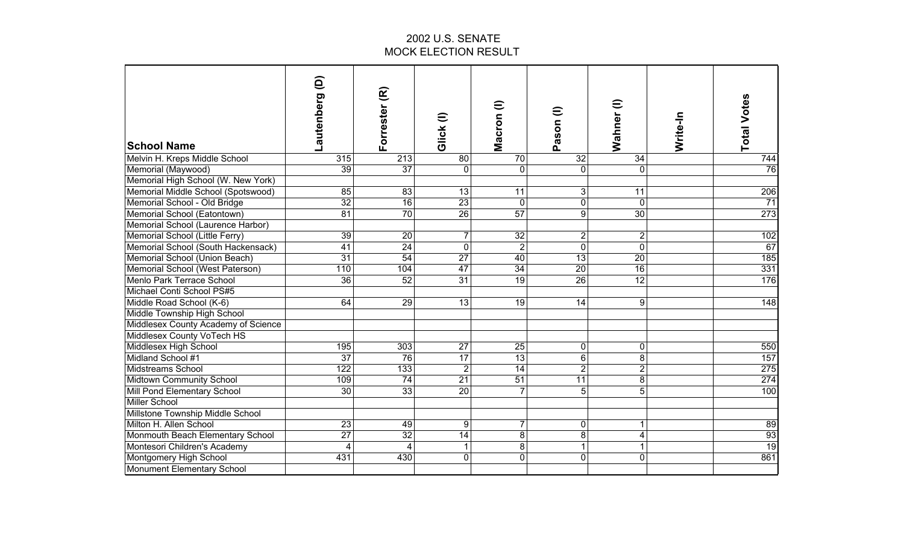| <b>School Name</b>                  | ê<br>Lautenberg         | Forrester (R)   | Glick(I)        | Macron (l)      | Pason (I)       | Wahner (I)      | Write-In | <b>Total Votes</b> |
|-------------------------------------|-------------------------|-----------------|-----------------|-----------------|-----------------|-----------------|----------|--------------------|
| Melvin H. Kreps Middle School       | 315                     | 213             | $\overline{80}$ | 70              | 32              | 34              |          | 744                |
| Memorial (Maywood)                  | $\overline{39}$         | 37              | $\mathbf 0$     | $\Omega$        | $\overline{0}$  | 0               |          | $\overline{76}$    |
| Memorial High School (W. New York)  |                         |                 |                 |                 |                 |                 |          |                    |
| Memorial Middle School (Spotswood)  | 85                      | $\overline{83}$ | $\overline{13}$ | 11              | 3 <sup>1</sup>  | 11              |          | 206                |
| Memorial School - Old Bridge        | 32                      | $\overline{16}$ | 23              | $\mathbf 0$     | $\overline{0}$  | $\mathbf 0$     |          | $\overline{71}$    |
| Memorial School (Eatontown)         | 81                      | 70              | 26              | 57              | $\overline{9}$  | 30              |          | 273                |
| Memorial School (Laurence Harbor)   |                         |                 |                 |                 |                 |                 |          |                    |
| Memorial School (Little Ferry)      | $\overline{39}$         | $\overline{20}$ | $\overline{7}$  | $\overline{32}$ | $\overline{c}$  | $\overline{c}$  |          | 102                |
| Memorial School (South Hackensack)  | 41                      | 24              | $\overline{0}$  | $\overline{2}$  | $\overline{0}$  | $\overline{0}$  |          | 67                 |
| Memorial School (Union Beach)       | 31                      | 54              | $\overline{27}$ | 40              | 13              | $\overline{20}$ |          | 185                |
| Memorial School (West Paterson)     | 110                     | 104             | 47              | 34              | $\overline{20}$ | 16              |          | 331                |
| Menlo Park Terrace School           | 36                      | 52              | 31              | 19              | 26              | 12              |          | 176                |
| Michael Conti School PS#5           |                         |                 |                 |                 |                 |                 |          |                    |
| Middle Road School (K-6)            | 64                      | 29              | 13              | 19              | 14              | 9               |          | $\overline{148}$   |
| Middle Township High School         |                         |                 |                 |                 |                 |                 |          |                    |
| Middlesex County Academy of Science |                         |                 |                 |                 |                 |                 |          |                    |
| Middlesex County VoTech HS          |                         |                 |                 |                 |                 |                 |          |                    |
| Middlesex High School               | 195                     | 303             | 27              | 25              | $\overline{0}$  | 0               |          | 550                |
| Midland School #1                   | 37                      | 76              | 17              | 13              | 6               | 8               |          | 157                |
| Midstreams School                   | 122                     | 133             | $\overline{2}$  | 14              | $\overline{2}$  | $\overline{2}$  |          | 275                |
| Midtown Community School            | 109                     | 74              | $\overline{21}$ | $\overline{51}$ | 11              | $\overline{8}$  |          | 274                |
| Mill Pond Elementary School         | 30                      | 33              | 20              | $\overline{7}$  | 5 <sup>1</sup>  | $\overline{5}$  |          | 100                |
| Miller School                       |                         |                 |                 |                 |                 |                 |          |                    |
| Millstone Township Middle School    |                         |                 |                 |                 |                 |                 |          |                    |
| Milton H. Allen School              | 23                      | 49              | 9               | 7               | $\overline{0}$  | 1               |          | 89                 |
| Monmouth Beach Elementary School    | $\overline{27}$         | 32              | 14              | 8               | 8               | 4               |          | $\frac{93}{19}$    |
| Montesori Children's Academy        | $\overline{\mathbf{4}}$ | 4               | $\mathbf{1}$    | $\infty$        | $\overline{1}$  | 1               |          |                    |
| Montgomery High School              | 431                     | 430             | $\overline{0}$  | $\mathbf 0$     | $\overline{0}$  | 0               |          | 861                |
| Monument Elementary School          |                         |                 |                 |                 |                 |                 |          |                    |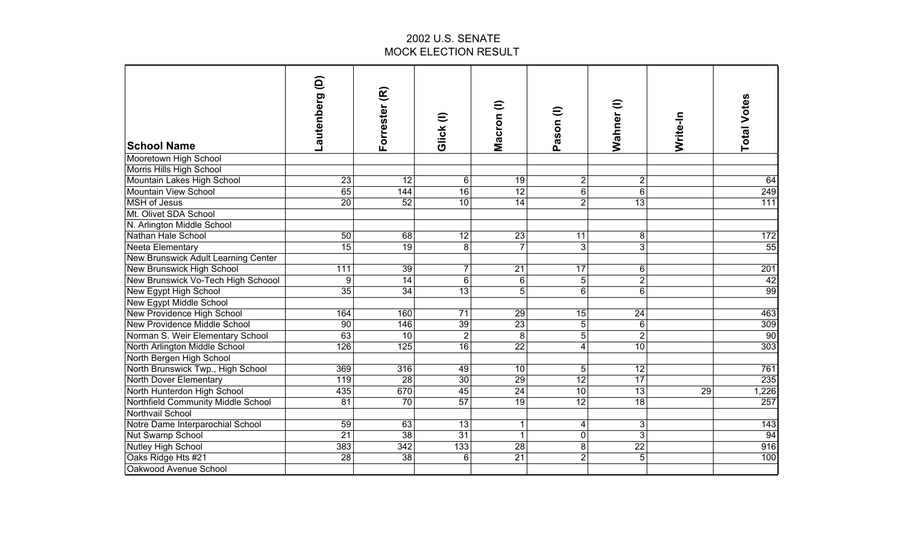| <b>School Name</b>                         | ê<br>Lautenberg  | Forrester (R)    | Glick (I)        | Macron (l)        | Pason (I)               | Wahner (I)      | Write-In | <b>Total Votes</b> |
|--------------------------------------------|------------------|------------------|------------------|-------------------|-------------------------|-----------------|----------|--------------------|
| Mooretown High School                      |                  |                  |                  |                   |                         |                 |          |                    |
| Morris Hills High School                   |                  |                  |                  |                   |                         |                 |          |                    |
| Mountain Lakes High School                 | 23               | 12               | 6                | 19                | $\overline{2}$          | $\overline{c}$  |          | 64                 |
| Mountain View School                       | 65               | 144              | 16               | 12                | 6                       | $\overline{6}$  |          | 249                |
| <b>MSH</b> of Jesus                        | 20               | 52               | 10               | 14                | $\overline{2}$          | 13              |          | 111                |
| Mt. Olivet SDA School                      |                  |                  |                  |                   |                         |                 |          |                    |
| N. Arlington Middle School                 |                  |                  |                  |                   |                         |                 |          |                    |
| Nathan Hale School                         | 50               | 68               | $\overline{12}$  | 23                | 11                      | 8               |          | 172                |
| Neeta Elementary                           | $\overline{15}$  | 19               | 8                | $\overline{7}$    | $\overline{3}$          | $\overline{3}$  |          | 55                 |
| <b>New Brunswick Adult Learning Center</b> |                  |                  |                  |                   |                         |                 |          |                    |
| New Brunswick High School                  | $\overline{111}$ | 39               | $\overline{7}$   | $\overline{21}$   | $\overline{17}$         | 6               |          | 201                |
| New Brunswick Vo-Tech High Schoool         | 9                | 14               | $\overline{6}$   | $6 \,$            | $\overline{5}$          | $\overline{2}$  |          | 42                 |
| New Egypt High School                      | 35               | $\overline{34}$  | $\overline{13}$  | 5                 | $\overline{6}$          | $\overline{6}$  |          | 99                 |
| New Egypt Middle School                    |                  |                  |                  |                   |                         |                 |          |                    |
| New Providence High School                 | 164              | 160              | 71               | 29                | 15                      | 24              |          | 463                |
| New Providence Middle School               | 90               | 146              | 39               | 23                | 5 <sup>1</sup>          | $6\phantom{1}6$ |          | 309                |
| Norman S. Weir Elementary School           | 63               | 10               | $\overline{2}$   | 8                 | $\overline{5}$          | $\overline{2}$  |          | 90                 |
| North Arlington Middle School              | 126              | 125              | $\overline{16}$  | $\overline{22}$   | $\overline{\mathbf{4}}$ | 10              |          | 303                |
| North Bergen High School                   |                  |                  |                  |                   |                         |                 |          |                    |
| North Brunswick Twp., High School          | 369              | 316              | 49               | 10                | 5                       | 12              |          | 761                |
| North Dover Elementary                     | 119              | 28               | $\overline{30}$  | $\overline{29}$   | $\overline{12}$         | $\overline{17}$ |          | 235                |
| North Hunterdon High School                | 435              | 670              | 45               | 24                | 10 <sup>1</sup>         | 13              | 29       | 1,226              |
| Northfield Community Middle School         | 81               | $\overline{70}$  | $\overline{57}$  | $\overline{19}$   | $\overline{12}$         | $\overline{18}$ |          | 257                |
| Northvail School                           |                  |                  |                  |                   |                         |                 |          |                    |
| Notre Dame Interparochial School           | 59               | 63               | $\overline{13}$  | 1<br>$\mathbf{1}$ | 4                       | 3               |          | 143                |
| Nut Swamp School                           | $\overline{21}$  | 38               | $\overline{31}$  |                   | $\overline{0}$          | $\overline{3}$  |          | 94                 |
| Nutley High School                         | 383              | $\overline{342}$ | $\overline{133}$ | $\overline{28}$   | $\overline{8}$          | $\overline{22}$ |          | 916                |
| Oaks Ridge Hts #21                         | $\overline{28}$  | 38               | $\,6$            | $\overline{21}$   | $\overline{2}$          | $\overline{5}$  |          | 100                |
| Oakwood Avenue School                      |                  |                  |                  |                   |                         |                 |          |                    |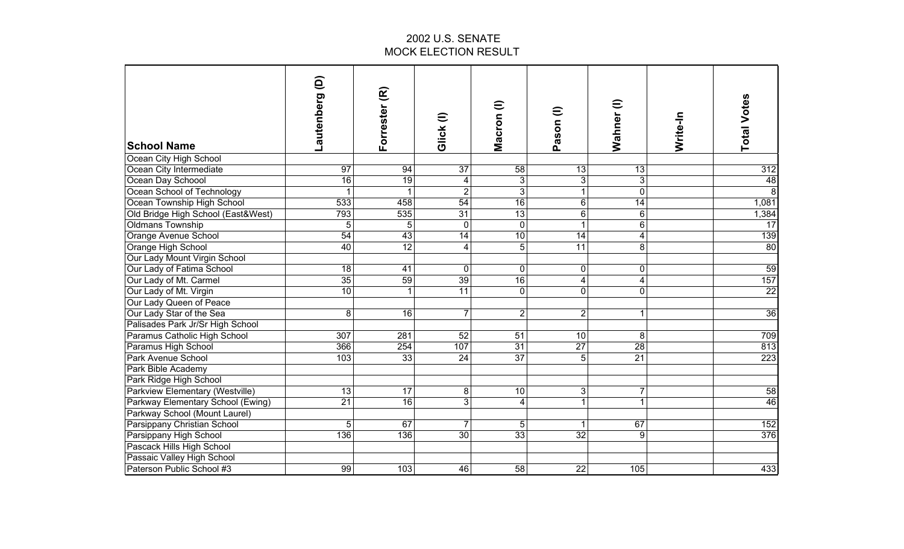| <b>School Name</b>                 | Lautenberg (D)  | Forrester (R)   | $\widehat{=}$<br>Glick | Macron (I)      | Pason (I)       | $\widehat{=}$<br>Wahner | Write-In | <b>Total Votes</b> |
|------------------------------------|-----------------|-----------------|------------------------|-----------------|-----------------|-------------------------|----------|--------------------|
| Ocean City High School             |                 |                 |                        |                 |                 |                         |          |                    |
| Ocean City Intermediate            | $\overline{97}$ | 94              | $\overline{37}$        | $\overline{58}$ | 13              | 13                      |          | $\overline{312}$   |
| Ocean Day Schoool                  | 16              | 19              | 4                      | دن              | دن              | 3                       |          | 48                 |
| Ocean School of Technology         |                 |                 | $\overline{2}$         | دن              | $\mathbf{1}$    | $\overline{0}$          |          | $\overline{8}$     |
| Ocean Township High School         | 533             | 458             | 54                     | 16              | $6\overline{6}$ | $\overline{14}$         |          | 1,081              |
| Old Bridge High School (East&West) | 793             | 535             | 31                     | 13              | $\overline{6}$  | $6\phantom{1}$          |          | 1,384              |
| <b>Oldmans Township</b>            | 5               | 5               | $\mathbf 0$            | $\mathbf 0$     | $\overline{1}$  | 6                       |          | 17                 |
| Orange Avenue School               | 54              | 43              | $\overline{14}$        | $\overline{10}$ | $\overline{14}$ | 4                       |          | 139                |
| Orange High School                 | 40              | 12              | $\overline{4}$         | 5               | 11              | 8                       |          | 80                 |
| Our Lady Mount Virgin School       |                 |                 |                        |                 |                 |                         |          |                    |
| Our Lady of Fatima School          | $\overline{18}$ | $\overline{41}$ | $\mathbf 0$            | $\mathbf 0$     | $\mathbf 0$     | 0                       |          | 59                 |
| Our Lady of Mt. Carmel             | 35              | 59              | 39                     | $\overline{16}$ | 4               | 4                       |          | 157                |
| Our Lady of Mt. Virgin             | 10              | $\mathbf{1}$    | 11                     | $\overline{0}$  | $\mathbf 0$     | 0                       |          | $\overline{22}$    |
| Our Lady Queen of Peace            |                 |                 |                        |                 |                 |                         |          |                    |
| Our Lady Star of the Sea           | 8               | 16              | $\overline{7}$         | $\overline{2}$  | $\overline{2}$  | 1                       |          | 36                 |
| Palisades Park Jr/Sr High School   |                 |                 |                        |                 |                 |                         |          |                    |
| Paramus Catholic High School       | 307             | 281             | 52                     | 51              | 10              | 8                       |          | 709                |
| Paramus High School                | 366             | 254             | 107                    | 31              | 27              | $\overline{28}$         |          | 813                |
| Park Avenue School                 | 103             | 33              | 24                     | 37              | 5               | 21                      |          | 223                |
| Park Bible Academy                 |                 |                 |                        |                 |                 |                         |          |                    |
| Park Ridge High School             |                 |                 |                        |                 |                 |                         |          |                    |
| Parkview Elementary (Westville)    | 13              | 17              | $\bf 8$                | 10              | 3               | 7                       |          | 58                 |
| Parkway Elementary School (Ewing)  | 21              | $\overline{16}$ | $\overline{3}$         | 4               | 1               | 1                       |          | 46                 |
| Parkway School (Mount Laurel)      |                 |                 |                        |                 |                 |                         |          |                    |
| Parsippany Christian School        | 5               | 67              | $\overline{7}$         | 5               | 1               | 67                      |          | 152                |
| Parsippany High School             | 136             | 136             | $\overline{30}$        | 33              | $\overline{32}$ | 9                       |          | 376                |
| Pascack Hills High School          |                 |                 |                        |                 |                 |                         |          |                    |
| Passaic Valley High School         |                 |                 |                        |                 |                 |                         |          |                    |
| Paterson Public School #3          | 99              | 103             | 46                     | $\overline{58}$ | $\overline{22}$ | 105                     |          | 433                |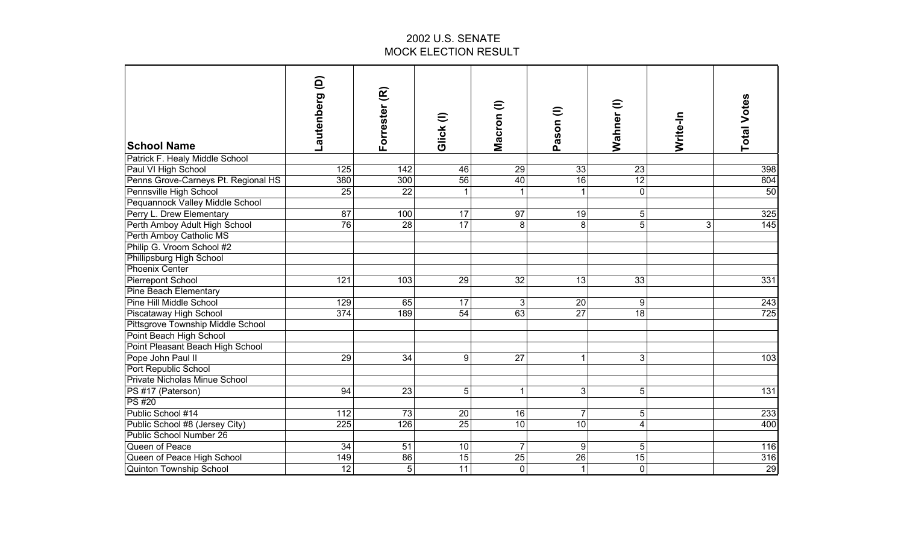| <b>School Name</b>                  | ê<br>Lautenberg  | Forrester (R)   | Glick (I)       | Macron (l)      | Pason (I)       | Wahner (I)      | Write-In | <b>Total Votes</b> |
|-------------------------------------|------------------|-----------------|-----------------|-----------------|-----------------|-----------------|----------|--------------------|
| Patrick F. Healy Middle School      |                  |                 |                 |                 |                 |                 |          |                    |
| Paul VI High School                 | 125              | 142             | 46              | 29              | 33              | $\overline{23}$ |          | 398                |
| Penns Grove-Carneys Pt. Regional HS | 380              | 300             | 56              | 40              | 16              | 12              |          | 804                |
| Pennsville High School              | 25               | $\overline{22}$ |                 |                 | 1               | 0               |          | 50                 |
| Pequannock Valley Middle School     |                  |                 |                 |                 |                 |                 |          |                    |
| Perry L. Drew Elementary            | $\overline{87}$  | 100             | $\overline{17}$ | $\overline{97}$ | $\overline{19}$ | 5               |          | 325                |
| Perth Amboy Adult High School       | 76               | $\overline{28}$ | 17              | 8               | 8               | $\overline{5}$  | 3        | $\frac{145}{145}$  |
| Perth Amboy Catholic MS             |                  |                 |                 |                 |                 |                 |          |                    |
| Philip G. Vroom School #2           |                  |                 |                 |                 |                 |                 |          |                    |
| Phillipsburg High School            |                  |                 |                 |                 |                 |                 |          |                    |
| <b>Phoenix Center</b>               |                  |                 |                 |                 |                 |                 |          |                    |
| Pierrepont School                   | $\overline{121}$ | 103             | $\overline{29}$ | $\overline{32}$ | 13              | $\overline{33}$ |          | 331                |
| Pine Beach Elementary               |                  |                 |                 |                 |                 |                 |          |                    |
| Pine Hill Middle School             | 129              | 65              | $\overline{17}$ | $\overline{3}$  | 20              | 9               |          | $\overline{243}$   |
| Piscataway High School              | 374              | 189             | 54              | 63              | $\overline{27}$ | $\overline{18}$ |          | 725                |
| Pittsgrove Township Middle School   |                  |                 |                 |                 |                 |                 |          |                    |
| Point Beach High School             |                  |                 |                 |                 |                 |                 |          |                    |
| Point Pleasant Beach High School    |                  |                 |                 |                 |                 |                 |          |                    |
| Pope John Paul II                   | 29               | 34              | 9               | 27              | $\mathbf{1}$    | 3               |          | 103                |
| Port Republic School                |                  |                 |                 |                 |                 |                 |          |                    |
| Private Nicholas Minue School       |                  |                 |                 |                 |                 |                 |          |                    |
| PS #17 (Paterson)                   | 94               | 23              | 5               | $\mathbf{1}$    | 3 <sup>1</sup>  | 5               |          | $\overline{131}$   |
| <b>PS#20</b>                        |                  |                 |                 |                 |                 |                 |          |                    |
| Public School #14                   | 112              | 73              | 20              | 16              | $\overline{7}$  | 5               |          | 233                |
| Public School #8 (Jersey City)      | 225              | 126             | $\overline{25}$ | $\overline{10}$ | 10              | $\overline{4}$  |          | 400                |
| Public School Number 26             |                  |                 |                 |                 |                 |                 |          |                    |
| Queen of Peace                      | 34               | 51              | 10              | $\overline{7}$  | 9               | 5               |          | 116                |
| Queen of Peace High School          | 149              | $\overline{86}$ | 15              | 25              | $\overline{26}$ | $\overline{15}$ |          | 316                |
| <b>Quinton Township School</b>      | $\overline{12}$  | 5               | $\overline{11}$ | $\mathbf 0$     | $\mathbf{1}$    | 0               |          | 29                 |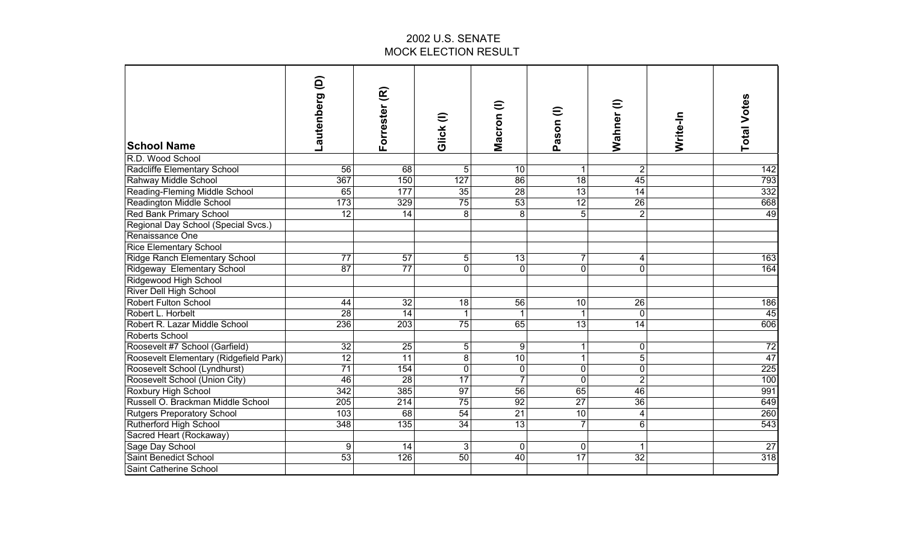| <b>School Name</b>                                          | ê<br>Lautenberg         | Forrester (R)    | $\widehat{=}$<br>Glick | $\widehat{=}$<br>Macron       | Pason (I)                   | $\widehat{=}$<br>Wahner | Write-In | <b>Total Votes</b>     |
|-------------------------------------------------------------|-------------------------|------------------|------------------------|-------------------------------|-----------------------------|-------------------------|----------|------------------------|
| R.D. Wood School                                            |                         |                  |                        |                               |                             |                         |          |                        |
| Radcliffe Elementary School                                 | 56                      | 68               | 5                      | 10                            | 1                           | $\overline{2}$          |          | 142                    |
| Rahway Middle School                                        | 367                     | 150              | 127                    | 86                            | $\overline{18}$             | 45                      |          | 793                    |
| Reading-Fleming Middle School                               | 65                      | 177              | 35                     | 28                            | $\overline{13}$             | $\overline{14}$         |          | 332                    |
| <b>Readington Middle School</b>                             | 173                     | 329              | 75                     | 53                            | 12                          | $\overline{26}$         |          | 668                    |
| <b>Red Bank Primary School</b>                              | $\overline{12}$         | $\overline{14}$  | 8                      | 8                             | $5\overline{)}$             | $\overline{2}$          |          | 49                     |
| Regional Day School (Special Svcs.)                         |                         |                  |                        |                               |                             |                         |          |                        |
| Renaissance One                                             |                         |                  |                        |                               |                             |                         |          |                        |
| <b>Rice Elementary School</b>                               |                         |                  |                        |                               |                             |                         |          |                        |
| <b>Ridge Ranch Elementary School</b>                        | $\overline{77}$         | $\overline{57}$  | 5                      | 13                            | $\overline{7}$              | 4                       |          | 163                    |
| Ridgeway Elementary School                                  | 87                      | 77               | $\overline{0}$         | $\Omega$                      | $\overline{0}$              | $\overline{\mathsf{o}}$ |          | 164                    |
| Ridgewood High School                                       |                         |                  |                        |                               |                             |                         |          |                        |
| River Dell High School                                      |                         |                  |                        |                               |                             |                         |          |                        |
| <b>Robert Fulton School</b>                                 | 44                      | 32               | 18                     | 56                            | 10                          | 26                      |          | 186                    |
| Robert L. Horbelt                                           | $\overline{28}$         | 14               | 1                      | 65                            | 1                           | $\mathbf 0$<br>14       |          | 45<br>606              |
| Robert R. Lazar Middle School                               | 236                     | 203              | 75                     |                               | 13                          |                         |          |                        |
| Roberts School                                              |                         |                  |                        |                               |                             |                         |          |                        |
| Roosevelt #7 School (Garfield)                              | 32                      | 25               | 5                      | 9                             | $\mathbf{1}$                | 0                       |          | 72                     |
| Roosevelt Elementary (Ridgefield Park)                      | 12<br>71                | 11<br>154        | 8<br>$\mathbf 0$       | 10                            | $\mathbf{1}$                | $\overline{5}$<br>0     |          | 47<br>$\overline{225}$ |
| Roosevelt School (Lyndhurst)                                | 46                      | 28               | 17                     | $\mathbf 0$<br>$\overline{7}$ | $\mathbf 0$<br>$\mathbf{0}$ | $\overline{2}$          |          | 100                    |
| Roosevelt School (Union City)                               |                         | 385              | 97                     | 56                            | 65                          | 46                      |          | 991                    |
| Roxbury High School<br>Russell O. Brackman Middle School    | 342<br>$\overline{205}$ | 214              | $\overline{75}$        | 92                            | $\overline{27}$             | $\overline{36}$         |          | 649                    |
|                                                             | 103                     | 68               | $\overline{54}$        | $\overline{21}$               | 10                          | 4                       |          | 260                    |
| <b>Rutgers Preporatory School</b><br>Rutherford High School | 348                     | $\overline{135}$ | $\overline{34}$        | 13                            | $\overline{7}$              | $\overline{6}$          |          | 543                    |
| Sacred Heart (Rockaway)                                     |                         |                  |                        |                               |                             |                         |          |                        |
| Sage Day School                                             | 9                       | 14               | 3                      | $\mathbf 0$                   | $\mathbf 0$                 | 1                       |          | $\overline{27}$        |
| Saint Benedict School                                       | 53                      | 126              | 50                     | $\overline{40}$               | 17                          | $\overline{32}$         |          | 318                    |
| Saint Catherine School                                      |                         |                  |                        |                               |                             |                         |          |                        |
|                                                             |                         |                  |                        |                               |                             |                         |          |                        |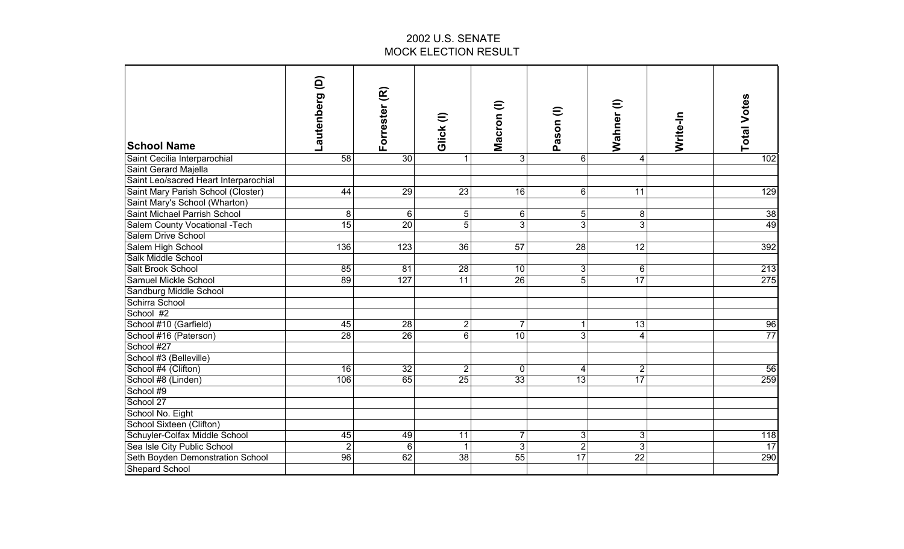| <b>School Name</b>                    | ê<br>Lautenberg | Forrester (R)   | Glick(I)         | Macron (I)      | Pason (I)        | Wahner (I)              | Write-In | <b>Total Votes</b> |
|---------------------------------------|-----------------|-----------------|------------------|-----------------|------------------|-------------------------|----------|--------------------|
| Saint Cecilia Interparochial          | 58              | 30              | $\mathbf{1}$     | $\overline{3}$  | $6 \overline{6}$ | 4                       |          | 102                |
| Saint Gerard Majella                  |                 |                 |                  |                 |                  |                         |          |                    |
| Saint Leo/sacred Heart Interparochial |                 |                 |                  |                 |                  |                         |          |                    |
| Saint Mary Parish School (Closter)    | 44              | 29              | 23               | 16              | 6 <sup>1</sup>   | $\overline{11}$         |          | 129                |
| Saint Mary's School (Wharton)         |                 |                 |                  |                 |                  |                         |          |                    |
| Saint Michael Parrish School          | 8               | $\,6\,$         | $\sqrt{5}$       | $6 \,$          | 5 <sup>1</sup>   | 8                       |          | 38                 |
| Salem County Vocational -Tech         | 15              | $\overline{20}$ | $\overline{5}$   | 3               | $\overline{3}$   | $\overline{3}$          |          | 49                 |
| Salem Drive School                    |                 |                 |                  |                 |                  |                         |          |                    |
| Salem High School                     | 136             | 123             | $\overline{36}$  | $\overline{57}$ | 28               | $\overline{12}$         |          | 392                |
| Salk Middle School                    |                 |                 |                  |                 |                  |                         |          |                    |
| Salt Brook School                     | 85              | $\overline{81}$ | 28               | $\overline{10}$ | 3 <sup>1</sup>   | 6                       |          | $\overline{213}$   |
| Samuel Mickle School                  | 89              | 127             | 11               | $\overline{26}$ | $\overline{5}$   | 17                      |          | 275                |
| Sandburg Middle School                |                 |                 |                  |                 |                  |                         |          |                    |
| Schirra School                        |                 |                 |                  |                 |                  |                         |          |                    |
| School #2                             |                 |                 |                  |                 |                  |                         |          |                    |
| School #10 (Garfield)                 | 45              | 28              | $\boldsymbol{2}$ | $\overline{7}$  | $\mathbf{1}$     | 13                      |          | 96                 |
| School #16 (Paterson)                 | $\overline{28}$ | 26              | $\overline{6}$   | $\overline{10}$ | 3 <sup>1</sup>   | $\overline{\mathbf{4}}$ |          | 77                 |
| School #27                            |                 |                 |                  |                 |                  |                         |          |                    |
| School #3 (Belleville)                |                 |                 |                  |                 |                  |                         |          |                    |
| School #4 (Clifton)                   | 16              | 32              | $\overline{2}$   | $\mathbf 0$     | 4                | $\overline{c}$          |          | 56                 |
| School #8 (Linden)                    | 106             | 65              | $\overline{25}$  | 33              | $\overline{13}$  | 17                      |          | 259                |
| School #9                             |                 |                 |                  |                 |                  |                         |          |                    |
| School 27                             |                 |                 |                  |                 |                  |                         |          |                    |
| School No. Eight                      |                 |                 |                  |                 |                  |                         |          |                    |
| School Sixteen (Clifton)              |                 |                 |                  |                 |                  |                         |          |                    |
| Schuyler-Colfax Middle School         | 45              | 49              | 11               | 7               | 3 <sup>1</sup>   | 3                       |          | 118                |
| Sea Isle City Public School           | $\overline{2}$  | 6               | $\mathbf{1}$     | دن              | $\overline{2}$   | $\overline{3}$          |          | 17                 |
| Seth Boyden Demonstration School      | 96              | 62              | $\overline{38}$  | 55              | 17               | $\overline{22}$         |          | 290                |
| Shepard School                        |                 |                 |                  |                 |                  |                         |          |                    |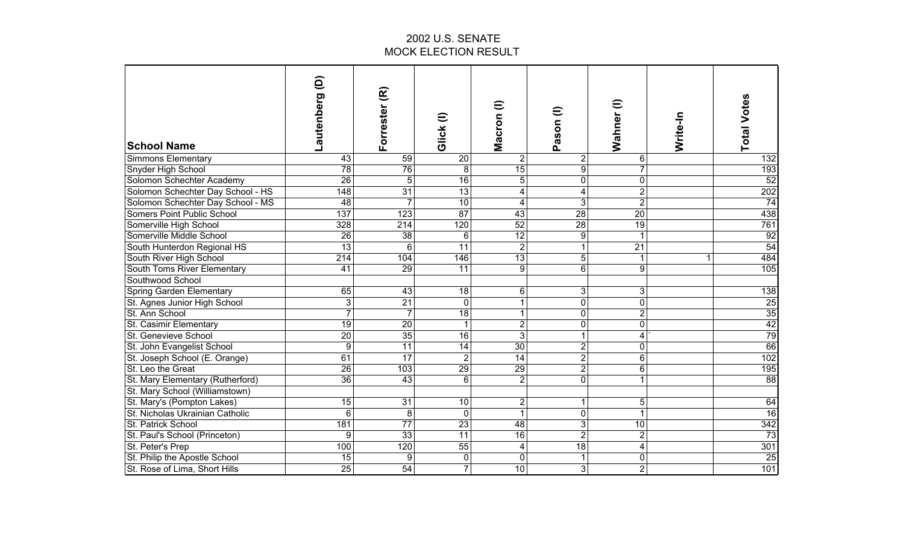| <b>School Name</b>                | ê<br>autenberg   | Forrester (R)    | Glick <sub>(I)</sub> | Macron (I)       | $\widehat{=}$<br>Pason  | $\widehat{\textbf{u}}$<br>Wahner | Write-In | <b>Total Votes</b> |
|-----------------------------------|------------------|------------------|----------------------|------------------|-------------------------|----------------------------------|----------|--------------------|
| Simmons Elementary                | 43               | 59               | 20                   | $\overline{2}$   | $\overline{2}$          | 6                                |          | 132                |
| Snyder High School                | 78               | 76               | 8                    | 15               | $\boldsymbol{9}$        |                                  |          | 193                |
| Solomon Schechter Academy         | 26               | 5                | 16                   | 5                | $\pmb{0}$               | $\mathbf 0$                      |          | 52                 |
| Solomon Schechter Day School - HS | 148              | 31               | 13                   | 4                | $\overline{\mathbf{4}}$ | $\overline{\mathbf{c}}$          |          | 202                |
| Solomon Schechter Day School - MS | 48               | $\overline{7}$   | 10                   | 4                | 3                       | $\overline{2}$                   |          | $\overline{74}$    |
| Somers Point Public School        | 137              | 123              | 87                   | $\overline{43}$  | 28                      | $\overline{20}$                  |          | 438                |
| Somerville High School            | 328              | $\overline{214}$ | 120                  | $\overline{52}$  | $\overline{28}$         | $\overline{19}$                  |          | 761                |
| Somerville Middle School          | $\overline{26}$  | $\overline{38}$  | 6                    | $\overline{12}$  | $\boldsymbol{9}$        | 1                                |          | 92                 |
| South Hunterdon Regional HS       | 13               | 6                | $\overline{11}$      | $\overline{2}$   | $\mathbf{1}$            | $\overline{21}$                  |          | 54                 |
| South River High School           | $\overline{214}$ | 104              | 146                  | $\overline{13}$  | 5                       | 1                                | 1        | 484                |
| South Toms River Elementary       | $\overline{41}$  | 29               | $\overline{11}$      | 9                | $\overline{6}$          | $\overline{9}$                   |          | 105                |
| Southwood School                  |                  |                  |                      |                  |                         |                                  |          |                    |
| Spring Garden Elementary          | 65               | 43               | 18                   | 6                | 3                       | 3                                |          | 138                |
| St. Agnes Junior High School      | $\mathfrak{B}$   | $\overline{21}$  | $\mathbf 0$          | 1                | $\overline{0}$          | $\mathbf 0$                      |          | 25                 |
| St. Ann School                    | $\overline{7}$   | $\overline{7}$   | 18                   | 1                | $\mathbf 0$             | $\overline{2}$                   |          | 35                 |
| St. Casimir Elementary            | $\overline{19}$  | 20               | -1                   | $\overline{2}$   | $\mathbf 0$             | $\mathbf 0$                      |          | 42                 |
| St. Genevieve School              | 20               | 35               | 16                   | $\overline{3}$   | $\mathbf{1}$            | 4                                |          | 79                 |
| St. John Evangelist School        | $\boldsymbol{9}$ | 11               | 14                   | 30               | $\overline{2}$          | $\mathbf{0}$                     |          | 66                 |
| St. Joseph School (E. Orange)     | 61               | 17               | $\overline{2}$       | 14               | $\overline{2}$          | $6\phantom{1}$                   |          | 102                |
| St. Leo the Great                 | 26               | 103              | 29                   | 29               | $\overline{2}$          | 6                                |          | 195                |
| St. Mary Elementary (Rutherford)  | 36               | 43               | 6                    | $\overline{2}$   | $\mathbf 0$             | 1                                |          | 88                 |
| St. Mary School (Williamstown)    |                  |                  |                      |                  |                         |                                  |          |                    |
| St. Mary's (Pompton Lakes)        | 15               | 31               | 10                   | $\boldsymbol{2}$ | $\mathbf{1}$            | 5                                |          | 64                 |
| St. Nicholas Ukrainian Catholic   | $6\phantom{1}$   | 8                | $\mathbf 0$          | 1                | $\mathbf 0$             | 1                                |          | $\overline{16}$    |
| St. Patrick School                | 181              | $\overline{77}$  | $\overline{23}$      | $\overline{48}$  | $\overline{3}$          | 10                               |          | 342                |
| St. Paul's School (Princeton)     | 9                | $\overline{33}$  | $\overline{11}$      | $\overline{16}$  | $\overline{2}$          | $\overline{2}$                   |          | 73                 |
| St. Peter's Prep                  | 100              | 120              | $\overline{55}$      | 4                | $\overline{18}$         | 4                                |          | 301                |
| St. Philip the Apostle School     | 15               | 9                | $\mathbf 0$          | 0                | 1                       | $\mathbf 0$                      |          | 25                 |
| St. Rose of Lima, Short Hills     | $\overline{25}$  | $\overline{54}$  | 7                    | $\overline{10}$  | $\overline{3}$          | $\overline{2}$                   |          | 101                |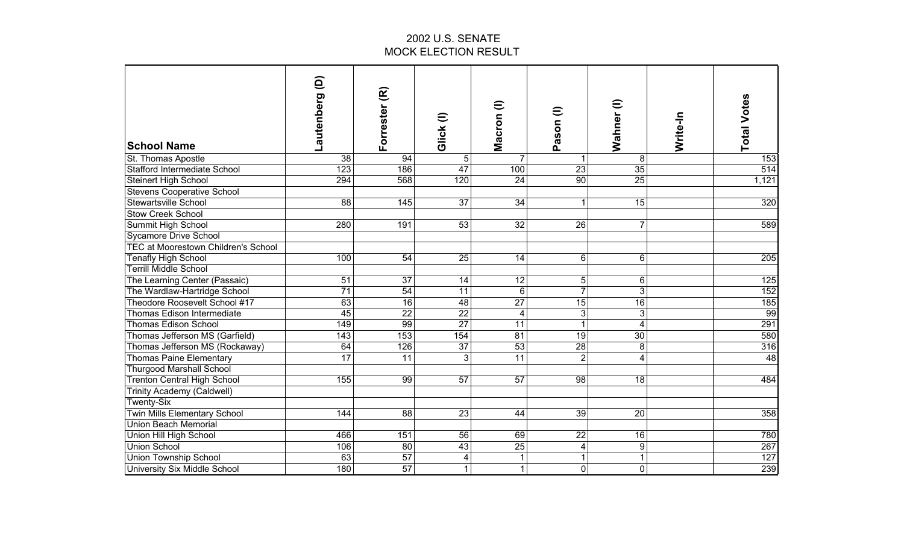| <b>School Name</b>                         | ê<br>Lautenberg | Forrester (R)    | Glick (I)               | Macron (l)              | Pason (I)       | Wahner (I)      | Write-In | <b>Total Votes</b> |
|--------------------------------------------|-----------------|------------------|-------------------------|-------------------------|-----------------|-----------------|----------|--------------------|
| St. Thomas Apostle                         | 38              | 94               | 5                       | 7                       | 1               | 8               |          | 153                |
| <b>Stafford Intermediate School</b>        | 123             | 186              | 47                      | 100                     | 23              | 35              |          | 514                |
| Steinert High School                       | 294             | 568              | 120                     | 24                      | 90              | 25              |          | 1,121              |
| <b>Stevens Cooperative School</b>          |                 |                  |                         |                         |                 |                 |          |                    |
| Stewartsville School                       | $\overline{88}$ | 145              | $\overline{37}$         | 34                      | $\mathbf{1}$    | $\overline{15}$ |          | 320                |
| <b>Stow Creek School</b>                   |                 |                  |                         |                         |                 |                 |          |                    |
| Summit High School                         | 280             | 191              | 53                      | 32                      | $\overline{26}$ | $\overline{7}$  |          | 589                |
| <b>Sycamore Drive School</b>               |                 |                  |                         |                         |                 |                 |          |                    |
| <b>TEC at Moorestown Children's School</b> |                 |                  |                         |                         |                 |                 |          |                    |
| <b>Tenafly High School</b>                 | 100             | 54               | $\overline{25}$         | 14                      | 6 <sup>1</sup>  | 6               |          | 205                |
| <b>Terrill Middle School</b>               |                 |                  |                         |                         |                 |                 |          |                    |
| The Learning Center (Passaic)              | $\overline{51}$ | $\overline{37}$  | 14                      | $\overline{12}$         | 5 <sup>1</sup>  | 6               |          | 125                |
| The Wardlaw-Hartridge School               | $\overline{71}$ | $\overline{54}$  | $\overline{11}$         | 6                       | $\overline{7}$  | 3               |          | 152                |
| Theodore Roosevelt School #17              | 63              | 16               | 48                      | $\overline{27}$         | $\overline{15}$ | $\overline{16}$ |          | 185                |
| Thomas Edison Intermediate                 | 45              | 22               | $\overline{22}$         | $\overline{\mathbf{4}}$ | $\overline{3}$  | 3               |          | 99                 |
| <b>Thomas Edison School</b>                | 149             | 99               | $\overline{27}$         | 11                      | $\mathbf{1}$    | $\overline{4}$  |          | 291                |
| Thomas Jefferson MS (Garfield)             | 143             | $\overline{153}$ | 154                     | $\overline{81}$         | $\overline{19}$ | 30              |          | 580                |
| Thomas Jefferson MS (Rockaway)             | 64              | 126              | 37                      | 53                      | 28              | 8               |          | 316                |
| Thomas Paine Elementary                    | $\overline{17}$ | 11               | 3                       | 11                      | $\overline{2}$  | 4               |          | $\overline{48}$    |
| <b>Thurgood Marshall School</b>            |                 |                  |                         |                         |                 |                 |          |                    |
| <b>Trenton Central High School</b>         | 155             | 99               | 57                      | 57                      | 98              | 18              |          | 484                |
| Trinity Academy (Caldwell)                 |                 |                  |                         |                         |                 |                 |          |                    |
| Twenty-Six                                 |                 |                  |                         |                         |                 |                 |          |                    |
| <b>Twin Mills Elementary School</b>        | 144             | 88               | 23                      | 44                      | 39              | 20              |          | 358                |
| <b>Union Beach Memorial</b>                |                 |                  |                         |                         |                 |                 |          |                    |
| Union Hill High School                     | 466             | 151              | $\overline{56}$         | 69                      | $\overline{22}$ | 16              |          | 780                |
| <b>Union School</b>                        | 106             | 80               | 43                      | 25                      | $\vert 4 \vert$ | 9               |          | 267                |
| <b>Union Township School</b>               | 63              | $\overline{57}$  | $\overline{\mathbf{4}}$ |                         | $\mathbf{1}$    | 1               |          | 127                |
| <b>University Six Middle School</b>        | 180             | $\overline{57}$  | $\mathbf{1}$            | $\mathbf{1}$            | $\overline{0}$  | $\overline{0}$  |          | 239                |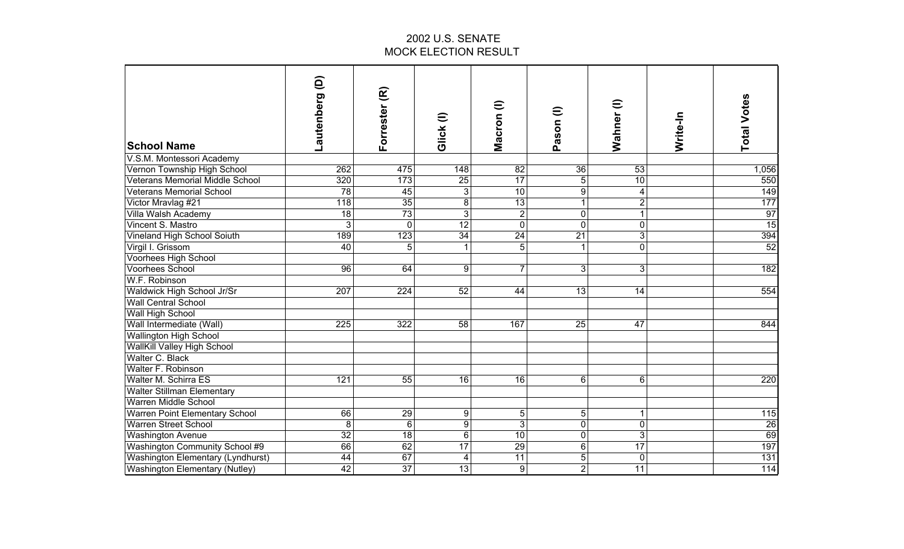| <b>School Name</b>                     | Lautenberg (D)  | Forrester (R)   | Glick(I)         | Macron (l)              | Pason (I)               | $\widehat{=}$<br>Wahner | Write-In | <b>Total Votes</b> |
|----------------------------------------|-----------------|-----------------|------------------|-------------------------|-------------------------|-------------------------|----------|--------------------|
| V.S.M. Montessori Academy              |                 |                 |                  |                         |                         |                         |          |                    |
| Vernon Township High School            | 262             | 475             | 148              | $\overline{82}$         | 36                      | $\overline{53}$         |          | 1,056              |
| <b>Veterans Memorial Middle School</b> | 320             | 173             | 25               | 17                      | 5 <sup>1</sup>          | 10                      |          | 550                |
| <b>Veterans Memorial School</b>        | 78              | 45              | $\overline{3}$   | $\overline{10}$         | 9                       | 4                       |          | 149                |
| Victor Mravlag #21                     | 118             | 35              | $\overline{8}$   | 13                      | $\mathbf{1}$            | $\overline{2}$          |          | 177                |
| Villa Walsh Academy                    | 18              | 73              | $\overline{3}$   | $\overline{2}$          | $\overline{\mathsf{o}}$ | $\mathbf{1}$            |          | 97                 |
| Vincent S. Mastro                      | 3               | $\mathbf 0$     | 12               | $\overline{\mathsf{o}}$ | $\overline{\mathsf{o}}$ | 0                       |          | 15                 |
| Vineland High School Soiuth            | 189             | 123             | $\overline{34}$  | $\overline{24}$         | $\overline{21}$         | 3                       |          | 394                |
| Virgil I. Grissom                      | $\overline{40}$ | 5               | 1                | 5                       | $\mathbf{1}$            | 0                       |          | $\overline{52}$    |
| Voorhees High School                   |                 |                 |                  |                         |                         |                         |          |                    |
| <b>Voorhees School</b>                 | 96              | 64              | $\overline{9}$   | $\overline{7}$          | دن                      | 3                       |          | 182                |
| W.F. Robinson                          |                 |                 |                  |                         |                         |                         |          |                    |
| Waldwick High School Jr/Sr             | 207             | 224             | 52               | 44                      | 13                      | 14                      |          | 554                |
| <b>Wall Central School</b>             |                 |                 |                  |                         |                         |                         |          |                    |
| Wall High School                       |                 |                 |                  |                         |                         |                         |          |                    |
| Wall Intermediate (Wall)               | 225             | 322             | 58               | 167                     | 25                      | 47                      |          | 844                |
| <b>Wallington High School</b>          |                 |                 |                  |                         |                         |                         |          |                    |
| <b>WallKill Valley High School</b>     |                 |                 |                  |                         |                         |                         |          |                    |
| Walter C. Black                        |                 |                 |                  |                         |                         |                         |          |                    |
| Walter F. Robinson                     |                 |                 |                  |                         |                         |                         |          |                    |
| <b>Walter M. Schirra ES</b>            | 121             | 55              | 16               | 16                      | 6                       | 6                       |          | 220                |
| <b>Walter Stillman Elementary</b>      |                 |                 |                  |                         |                         |                         |          |                    |
| <b>Warren Middle School</b>            |                 |                 |                  |                         |                         |                         |          |                    |
| <b>Warren Point Elementary School</b>  | 66              | 29              | $\boldsymbol{9}$ | 5                       | 5 <sup>5</sup>          | 1                       |          | 115                |
| <b>Warren Street School</b>            | 8               | $6\phantom{1}6$ | $\overline{9}$   | $\overline{3}$          | $\overline{0}$          | $\overline{0}$          |          | 26                 |
| <b>Washington Avenue</b>               | 32              | $\overline{18}$ | $6\phantom{1}$   | $\overline{10}$         | $\mathbf 0$             | 3                       |          | 69                 |
| Washington Community School #9         | 66              | 62              | $\overline{17}$  | $\overline{29}$         | 6                       | $\overline{17}$         |          | 197                |
| Washington Elementary (Lyndhurst)      | 44              | 67              | 4                | $\overline{11}$         | $\overline{5}$          | 0                       |          | $\overline{131}$   |
| <b>Washington Elementary (Nutley)</b>  | 42              | $\overline{37}$ | 13               | 9                       | $\overline{2}$          | $\overline{11}$         |          | 114                |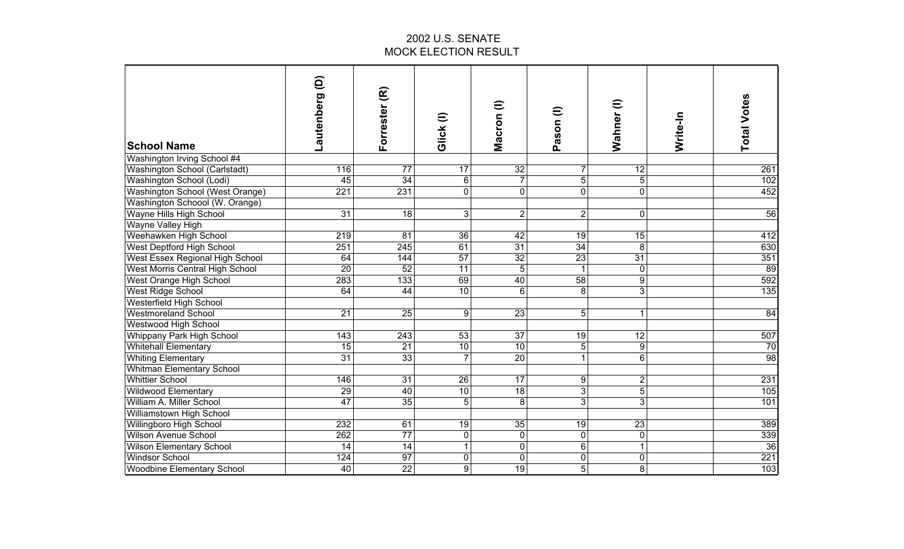| <b>School Name</b>                     | Lautenberg (D)   | Forrester (R)    | Glick(I)        | Macron (I)      | Pason (I)       | $\widehat{=}$<br>Wahner | Write-In | <b>Total Votes</b> |
|----------------------------------------|------------------|------------------|-----------------|-----------------|-----------------|-------------------------|----------|--------------------|
| Washington Irving School #4            |                  |                  |                 |                 |                 |                         |          |                    |
| Washington School (Carlstadt)          | 116              | $\overline{77}$  | $\overline{17}$ | $\overline{32}$ | $\overline{7}$  | $\overline{12}$         |          | 261                |
| Washington School (Lodi)               | 45               | 34               | $\,6\,$         | $\overline{7}$  | 5               | $\overline{5}$          |          | 102                |
| Washington School (West Orange)        | 221              | 231              | $\mathbf 0$     | $\overline{0}$  | $\mathbf{0}$    | $\overline{0}$          |          | 452                |
| Washington Schoool (W. Orange)         |                  |                  |                 |                 |                 |                         |          |                    |
| Wayne Hills High School                | 31               | $\overline{18}$  | 3               | $\overline{2}$  | $\overline{2}$  | 0                       |          | 56                 |
| Wayne Valley High                      |                  |                  |                 |                 |                 |                         |          |                    |
| Weehawken High School                  | $\overline{219}$ | 81               | $\overline{36}$ | 42              | 19              | 15                      |          | 412                |
| West Deptford High School              | 251              | $\overline{245}$ | 61              | $\overline{31}$ | $\overline{34}$ | 8                       |          | 630                |
| West Essex Regional High School        | 64               | 144              | 57              | $\overline{32}$ | $\overline{23}$ | $\overline{31}$         |          | 351                |
| <b>West Morris Central High School</b> | 20               | 52               | $\overline{11}$ | $\overline{5}$  | $\overline{1}$  | 0                       |          | 89                 |
| West Orange High School                | 283              | 133              | 69              | $\overline{40}$ | $\overline{58}$ | 9                       |          | 592                |
| <b>West Ridge School</b>               | 64               | 44               | 10              | 6               | 8               | $\overline{3}$          |          | 135                |
| Westerfield High School                |                  |                  |                 |                 |                 |                         |          |                    |
| <b>Westmoreland School</b>             | 21               | 25               | 9               | 23              | 5 <sup>1</sup>  | 1                       |          | 84                 |
| Westwood High School                   |                  |                  |                 |                 |                 |                         |          |                    |
| Whippany Park High School              | 143              | 243              | 53              | 37              | 19              | 12                      |          | 507                |
| <b>Whitehall Elementary</b>            | 15               | 21               | 10              | 10              | 5 <sup>1</sup>  | 9                       |          | 70                 |
| <b>Whiting Elementary</b>              | $\overline{31}$  | 33               | $\overline{7}$  | $\overline{20}$ | $\mathbf{1}$    | $\overline{6}$          |          | 98                 |
| <b>Whitman Elementary School</b>       |                  |                  |                 |                 |                 |                         |          |                    |
| <b>Whittier School</b>                 | 146              | 31               | 26              | 17              | 9               | $\overline{\mathbf{c}}$ |          | 231                |
| Wildwood Elementary                    | 29               | 40               | 10              | $\overline{18}$ | $\overline{3}$  | $\overline{5}$          |          | 105                |
| William A. Miller School               | $\overline{47}$  | $\overline{35}$  | $\overline{5}$  | 8               | $\overline{3}$  | $\overline{3}$          |          | 101                |
| Williamstown High School               |                  |                  |                 |                 |                 |                         |          |                    |
| Willingboro High School                | 232              | 61               | $\overline{19}$ | 35              | 19              | $\overline{23}$         |          | 389                |
| <b>Wilson Avenue School</b>            | 262              | $\overline{77}$  | $\mathbf 0$     | $\mathbf 0$     | $\mathbf 0$     | 0                       |          | 339                |
| <b>Wilson Elementary School</b>        | 14               | 14               | 1               | 0               | $6\phantom{1}$  | 1                       |          | $\overline{36}$    |
| <b>Windsor School</b>                  | 124              | $\overline{97}$  | $\mathbf 0$     | $\mathbf 0$     | $\pmb{0}$       | 0                       |          | $\overline{221}$   |
| <b>Woodbine Elementary School</b>      | 40               | $\overline{22}$  | $\overline{9}$  | 19              | 5               | $\overline{8}$          |          | 103                |